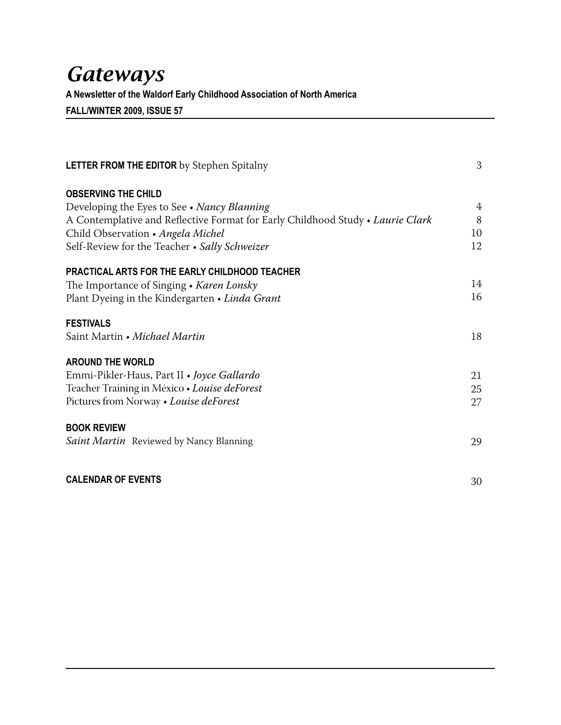# *Gateways*

**A Newsletter of the Waldorf Early Childhood Association of North America**

**FALL/WINTER 2009, ISSUE 57**

| <b>LETTER FROM THE EDITOR</b> by Stephen Spitalny                              | 3  |
|--------------------------------------------------------------------------------|----|
| <b>OBSERVING THE CHILD</b>                                                     |    |
| Developing the Eyes to See • Nancy Blanning                                    | 4  |
| A Contemplative and Reflective Format for Early Childhood Study • Laurie Clark | 8  |
| Child Observation • Angela Michel                                              | 10 |
| Self-Review for the Teacher • Sally Schweizer                                  | 12 |
| <b>PRACTICAL ARTS FOR THE EARLY CHILDHOOD TEACHER</b>                          |    |
| The Importance of Singing • Karen Lonsky                                       | 14 |
| Plant Dyeing in the Kindergarten • Linda Grant                                 | 16 |
| <b>FESTIVALS</b>                                                               |    |
| Saint Martin • Michael Martin                                                  | 18 |
| <b>AROUND THE WORLD</b>                                                        |    |
| Emmi-Pikler-Haus, Part II • Joyce Gallardo                                     | 21 |
| Teacher Training in México · Louise deForest                                   | 25 |
| Pictures from Norway • Louise deForest                                         | 27 |
| <b>BOOK REVIEW</b>                                                             |    |
| Saint Martin Reviewed by Nancy Blanning                                        | 29 |
| <b>CALENDAR OF EVENTS</b>                                                      | 30 |
|                                                                                |    |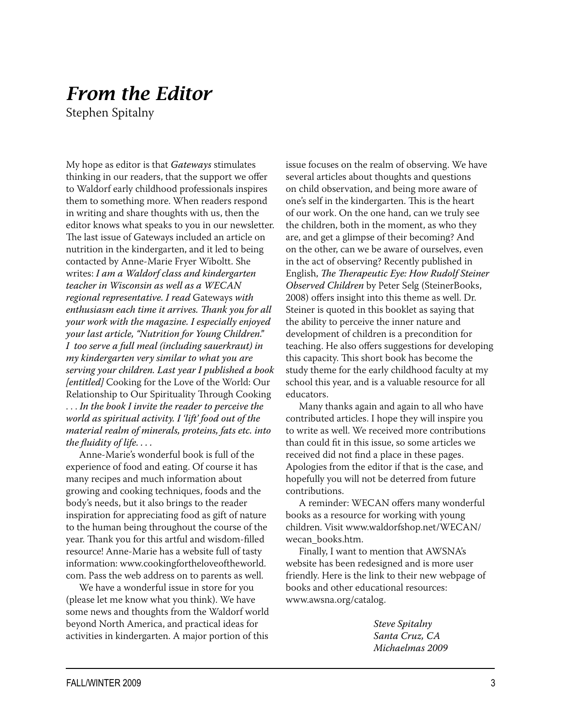## *From the Editor*

Stephen Spitalny

My hope as editor is that *Gateways* stimulates thinking in our readers, that the support we offer to Waldorf early childhood professionals inspires them to something more. When readers respond in writing and share thoughts with us, then the editor knows what speaks to you in our newsletter. The last issue of Gateways included an article on nutrition in the kindergarten, and it led to being contacted by Anne-Marie Fryer Wiboltt. She writes: *I am a Waldorf class and kindergarten teacher in Wisconsin as well as a WECAN regional representative. I read* Gateways *with enthusiasm each time it arrives. Thank you for all your work with the magazine. I especially enjoyed your last article, "Nutrition for Young Children." I too serve a full meal (including sauerkraut) in my kindergarten very similar to what you are serving your children. Last year I published a book [entitled]* Cooking for the Love of the World: Our Relationship to Our Spirituality Through Cooking . . . *In the book I invite the reader to perceive the world as spiritual activity. I 'lift' food out of the material realm of minerals, proteins, fats etc. into the fluidity of life. . . .*

Anne-Marie's wonderful book is full of the experience of food and eating. Of course it has many recipes and much information about growing and cooking techniques, foods and the body's needs, but it also brings to the reader inspiration for appreciating food as gift of nature to the human being throughout the course of the year. Thank you for this artful and wisdom-filled resource! Anne-Marie has a website full of tasty information: www.cookingfortheloveoftheworld. com. Pass the web address on to parents as well.

We have a wonderful issue in store for you (please let me know what you think). We have some news and thoughts from the Waldorf world beyond North America, and practical ideas for activities in kindergarten. A major portion of this

issue focuses on the realm of observing. We have several articles about thoughts and questions on child observation, and being more aware of one's self in the kindergarten. This is the heart of our work. On the one hand, can we truly see the children, both in the moment, as who they are, and get a glimpse of their becoming? And on the other, can we be aware of ourselves, even in the act of observing? Recently published in English, *The Therapeutic Eye: How Rudolf Steiner Observed Children* by Peter Selg (SteinerBooks, 2008) offers insight into this theme as well. Dr. Steiner is quoted in this booklet as saying that the ability to perceive the inner nature and development of children is a precondition for teaching. He also offers suggestions for developing this capacity. This short book has become the study theme for the early childhood faculty at my school this year, and is a valuable resource for all educators.

Many thanks again and again to all who have contributed articles. I hope they will inspire you to write as well. We received more contributions than could fit in this issue, so some articles we received did not find a place in these pages. Apologies from the editor if that is the case, and hopefully you will not be deterred from future contributions.

A reminder: WECAN offers many wonderful books as a resource for working with young children. Visit www.waldorfshop.net/WECAN/ wecan\_books.htm.

Finally, I want to mention that AWSNA's website has been redesigned and is more user friendly. Here is the link to their new webpage of books and other educational resources: www.awsna.org/catalog.

> *Steve Spitalny Santa Cruz, CA Michaelmas 2009*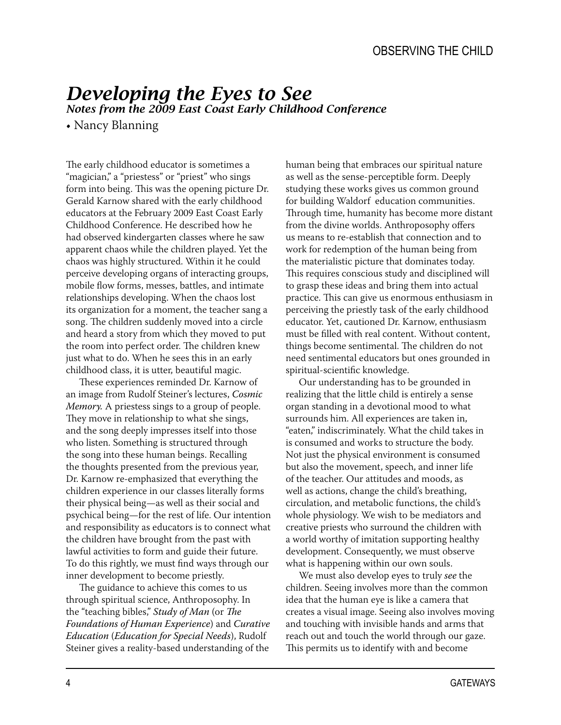# *Developing the Eyes to See*

*Notes from the 2009 East Coast Early Childhood Conference*

• Nancy Blanning

The early childhood educator is sometimes a "magician," a "priestess" or "priest" who sings form into being. This was the opening picture Dr. Gerald Karnow shared with the early childhood educators at the February 2009 East Coast Early Childhood Conference. He described how he had observed kindergarten classes where he saw apparent chaos while the children played. Yet the chaos was highly structured. Within it he could perceive developing organs of interacting groups, mobile flow forms, messes, battles, and intimate relationships developing. When the chaos lost its organization for a moment, the teacher sang a song. The children suddenly moved into a circle and heard a story from which they moved to put the room into perfect order. The children knew just what to do. When he sees this in an early childhood class, it is utter, beautiful magic.

These experiences reminded Dr. Karnow of an image from Rudolf Steiner's lectures, *Cosmic Memory.* A priestess sings to a group of people. They move in relationship to what she sings, and the song deeply impresses itself into those who listen. Something is structured through the song into these human beings. Recalling the thoughts presented from the previous year, Dr. Karnow re-emphasized that everything the children experience in our classes literally forms their physical being—as well as their social and psychical being—for the rest of life. Our intention and responsibility as educators is to connect what the children have brought from the past with lawful activities to form and guide their future. To do this rightly, we must find ways through our inner development to become priestly.

The guidance to achieve this comes to us through spiritual science, Anthroposophy. In the "teaching bibles," *Study of Man* (or *The Foundations of Human Experience*) and *Curative Education* (*Education for Special Needs*), Rudolf Steiner gives a reality-based understanding of the

human being that embraces our spiritual nature as well as the sense-perceptible form. Deeply studying these works gives us common ground for building Waldorf education communities. Through time, humanity has become more distant from the divine worlds. Anthroposophy offers us means to re-establish that connection and to work for redemption of the human being from the materialistic picture that dominates today. This requires conscious study and disciplined will to grasp these ideas and bring them into actual practice. This can give us enormous enthusiasm in perceiving the priestly task of the early childhood educator. Yet, cautioned Dr. Karnow, enthusiasm must be filled with real content. Without content, things become sentimental. The children do not need sentimental educators but ones grounded in spiritual-scientific knowledge.

Our understanding has to be grounded in realizing that the little child is entirely a sense organ standing in a devotional mood to what surrounds him. All experiences are taken in, "eaten," indiscriminately. What the child takes in is consumed and works to structure the body. Not just the physical environment is consumed but also the movement, speech, and inner life of the teacher. Our attitudes and moods, as well as actions, change the child's breathing, circulation, and metabolic functions, the child's whole physiology. We wish to be mediators and creative priests who surround the children with a world worthy of imitation supporting healthy development. Consequently, we must observe what is happening within our own souls.

We must also develop eyes to truly *see* the children. Seeing involves more than the common idea that the human eye is like a camera that creates a visual image. Seeing also involves moving and touching with invisible hands and arms that reach out and touch the world through our gaze. This permits us to identify with and become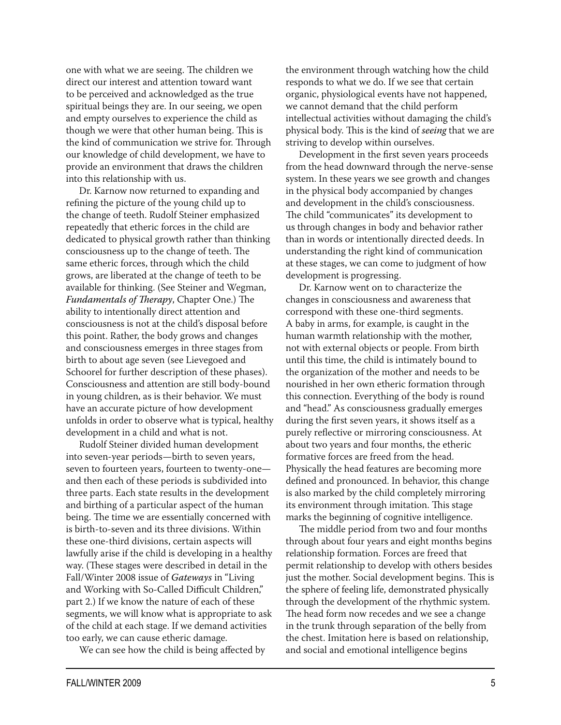one with what we are seeing. The children we direct our interest and attention toward want to be perceived and acknowledged as the true spiritual beings they are. In our seeing, we open and empty ourselves to experience the child as though we were that other human being. This is the kind of communication we strive for. Through our knowledge of child development, we have to provide an environment that draws the children into this relationship with us.

Dr. Karnow now returned to expanding and refining the picture of the young child up to the change of teeth. Rudolf Steiner emphasized repeatedly that etheric forces in the child are dedicated to physical growth rather than thinking consciousness up to the change of teeth. The same etheric forces, through which the child grows, are liberated at the change of teeth to be available for thinking. (See Steiner and Wegman, *Fundamentals of Therapy*, Chapter One.) The ability to intentionally direct attention and consciousness is not at the child's disposal before this point. Rather, the body grows and changes and consciousness emerges in three stages from birth to about age seven (see Lievegoed and Schoorel for further description of these phases). Consciousness and attention are still body-bound in young children, as is their behavior. We must have an accurate picture of how development unfolds in order to observe what is typical, healthy development in a child and what is not.

Rudolf Steiner divided human development into seven-year periods—birth to seven years, seven to fourteen years, fourteen to twenty-one and then each of these periods is subdivided into three parts. Each state results in the development and birthing of a particular aspect of the human being. The time we are essentially concerned with is birth-to-seven and its three divisions. Within these one-third divisions, certain aspects will lawfully arise if the child is developing in a healthy way. (These stages were described in detail in the Fall/Winter 2008 issue of *Gateways* in "Living and Working with So-Called Difficult Children," part 2.) If we know the nature of each of these segments, we will know what is appropriate to ask of the child at each stage. If we demand activities too early, we can cause etheric damage.

We can see how the child is being affected by

the environment through watching how the child responds to what we do. If we see that certain organic, physiological events have not happened, we cannot demand that the child perform intellectual activities without damaging the child's physical body. This is the kind of *seeing* that we are striving to develop within ourselves.

Development in the first seven years proceeds from the head downward through the nerve-sense system. In these years we see growth and changes in the physical body accompanied by changes and development in the child's consciousness. The child "communicates" its development to us through changes in body and behavior rather than in words or intentionally directed deeds. In understanding the right kind of communication at these stages, we can come to judgment of how development is progressing.

Dr. Karnow went on to characterize the changes in consciousness and awareness that correspond with these one-third segments. A baby in arms, for example, is caught in the human warmth relationship with the mother, not with external objects or people. From birth until this time, the child is intimately bound to the organization of the mother and needs to be nourished in her own etheric formation through this connection. Everything of the body is round and "head." As consciousness gradually emerges during the first seven years, it shows itself as a purely reflective or mirroring consciousness. At about two years and four months, the etheric formative forces are freed from the head. Physically the head features are becoming more defined and pronounced. In behavior, this change is also marked by the child completely mirroring its environment through imitation. This stage marks the beginning of cognitive intelligence.

The middle period from two and four months through about four years and eight months begins relationship formation. Forces are freed that permit relationship to develop with others besides just the mother. Social development begins. This is the sphere of feeling life, demonstrated physically through the development of the rhythmic system. The head form now recedes and we see a change in the trunk through separation of the belly from the chest. Imitation here is based on relationship, and social and emotional intelligence begins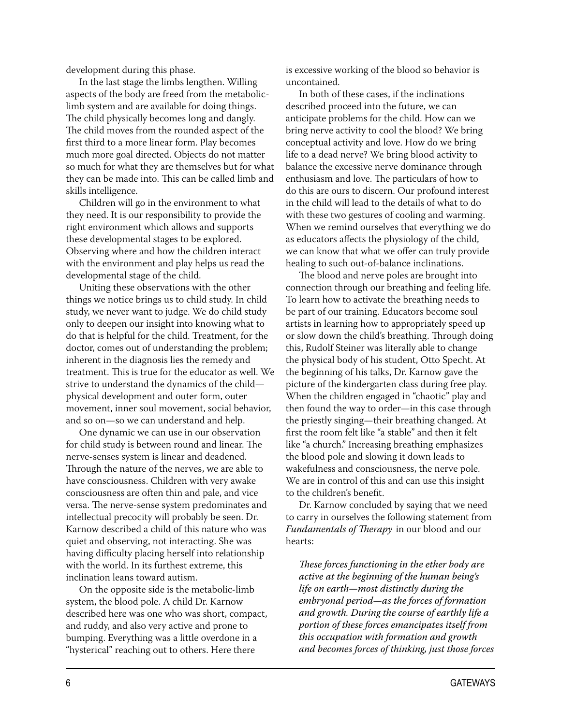development during this phase.

In the last stage the limbs lengthen. Willing aspects of the body are freed from the metaboliclimb system and are available for doing things. The child physically becomes long and dangly. The child moves from the rounded aspect of the first third to a more linear form. Play becomes much more goal directed. Objects do not matter so much for what they are themselves but for what they can be made into. This can be called limb and skills intelligence.

Children will go in the environment to what they need. It is our responsibility to provide the right environment which allows and supports these developmental stages to be explored. Observing where and how the children interact with the environment and play helps us read the developmental stage of the child.

Uniting these observations with the other things we notice brings us to child study. In child study, we never want to judge. We do child study only to deepen our insight into knowing what to do that is helpful for the child. Treatment, for the doctor, comes out of understanding the problem; inherent in the diagnosis lies the remedy and treatment. This is true for the educator as well. We strive to understand the dynamics of the child physical development and outer form, outer movement, inner soul movement, social behavior, and so on—so we can understand and help.

One dynamic we can use in our observation for child study is between round and linear. The nerve-senses system is linear and deadened. Through the nature of the nerves, we are able to have consciousness. Children with very awake consciousness are often thin and pale, and vice versa. The nerve-sense system predominates and intellectual precocity will probably be seen. Dr. Karnow described a child of this nature who was quiet and observing, not interacting. She was having difficulty placing herself into relationship with the world. In its furthest extreme, this inclination leans toward autism.

On the opposite side is the metabolic-limb system, the blood pole. A child Dr. Karnow described here was one who was short, compact, and ruddy, and also very active and prone to bumping. Everything was a little overdone in a "hysterical" reaching out to others. Here there

is excessive working of the blood so behavior is uncontained.

In both of these cases, if the inclinations described proceed into the future, we can anticipate problems for the child. How can we bring nerve activity to cool the blood? We bring conceptual activity and love. How do we bring life to a dead nerve? We bring blood activity to balance the excessive nerve dominance through enthusiasm and love. The particulars of how to do this are ours to discern. Our profound interest in the child will lead to the details of what to do with these two gestures of cooling and warming. When we remind ourselves that everything we do as educators affects the physiology of the child, we can know that what we offer can truly provide healing to such out-of-balance inclinations.

The blood and nerve poles are brought into connection through our breathing and feeling life. To learn how to activate the breathing needs to be part of our training. Educators become soul artists in learning how to appropriately speed up or slow down the child's breathing. Through doing this, Rudolf Steiner was literally able to change the physical body of his student, Otto Specht. At the beginning of his talks, Dr. Karnow gave the picture of the kindergarten class during free play. When the children engaged in "chaotic" play and then found the way to order—in this case through the priestly singing—their breathing changed. At first the room felt like "a stable" and then it felt like "a church." Increasing breathing emphasizes the blood pole and slowing it down leads to wakefulness and consciousness, the nerve pole. We are in control of this and can use this insight to the children's benefit.

Dr. Karnow concluded by saying that we need to carry in ourselves the following statement from *Fundamentals of Therapy* in our blood and our hearts:

*These forces functioning in the ether body are active at the beginning of the human being's life on earth—most distinctly during the embryonal period—as the forces of formation and growth. During the course of earthly life a portion of these forces emancipates itself from this occupation with formation and growth and becomes forces of thinking, just those forces*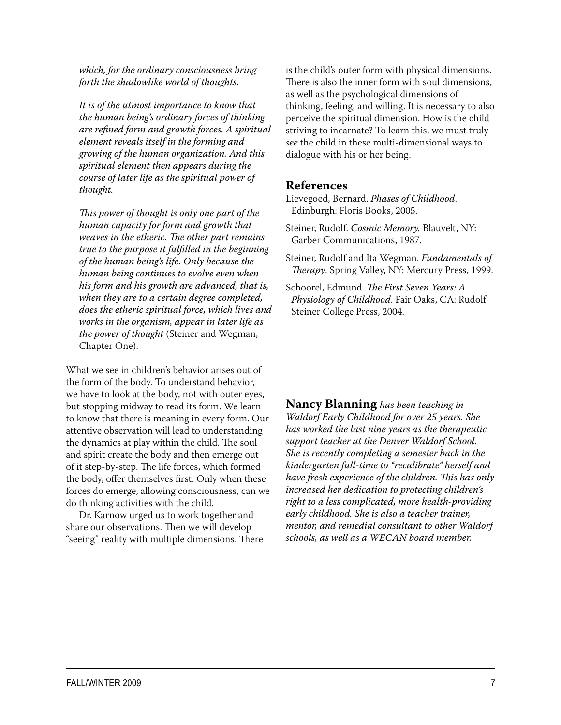*which, for the ordinary consciousness bring forth the shadowlike world of thoughts.*

*It is of the utmost importance to know that the human being's ordinary forces of thinking are refined form and growth forces. A spiritual element reveals itself in the forming and growing of the human organization. And this spiritual element then appears during the course of later life as the spiritual power of thought.*

*This power of thought is only one part of the human capacity for form and growth that weaves in the etheric. The other part remains true to the purpose it fulfilled in the beginning of the human being's life. Only because the human being continues to evolve even when his form and his growth are advanced, that is, when they are to a certain degree completed, does the etheric spiritual force, which lives and works in the organism, appear in later life as the power of thought* (Steiner and Wegman, Chapter One).

What we see in children's behavior arises out of the form of the body. To understand behavior, we have to look at the body, not with outer eyes, but stopping midway to read its form. We learn to know that there is meaning in every form. Our attentive observation will lead to understanding the dynamics at play within the child. The soul and spirit create the body and then emerge out of it step-by-step. The life forces, which formed the body, offer themselves first. Only when these forces do emerge, allowing consciousness, can we do thinking activities with the child.

Dr. Karnow urged us to work together and share our observations. Then we will develop "seeing" reality with multiple dimensions. There is the child's outer form with physical dimensions. There is also the inner form with soul dimensions, as well as the psychological dimensions of thinking, feeling, and willing. It is necessary to also perceive the spiritual dimension. How is the child striving to incarnate? To learn this, we must truly *see* the child in these multi-dimensional ways to dialogue with his or her being.

#### **References**

Lievegoed, Bernard. *Phases of Childhood*. Edinburgh: Floris Books, 2005.

- Steiner, Rudolf. *Cosmic Memory.* Blauvelt, NY: Garber Communications, 1987.
- Steiner, Rudolf and Ita Wegman. *Fundamentals of Therapy*. Spring Valley, NY: Mercury Press, 1999.
- Schoorel, Edmund. *The First Seven Years: A Physiology of Childhood*. Fair Oaks, CA: Rudolf Steiner College Press, 2004.

**Nancy Blanning** *has been teaching in Waldorf Early Childhood for over 25 years. She has worked the last nine years as the therapeutic support teacher at the Denver Waldorf School. She is recently completing a semester back in the kindergarten full-time to "recalibrate" herself and have fresh experience of the children. This has only increased her dedication to protecting children's right to a less complicated, more health-providing early childhood. She is also a teacher trainer, mentor, and remedial consultant to other Waldorf schools, as well as a WECAN board member.*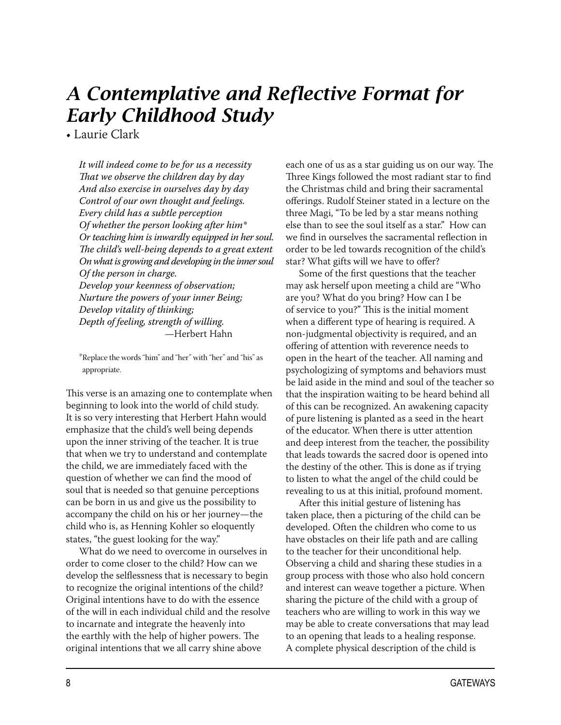# *A Contemplative and Reflective Format for Early Childhood Study*

• Laurie Clark

*It will indeed come to be for us a necessity That we observe the children day by day And also exercise in ourselves day by day Control of our own thought and feelings. Every child has a subtle perception Of whether the person looking after him\* Or teaching him is inwardly equipped in her soul. The child's well-being depends to a great extent On what is growing and developing in the inner soul Of the person in charge. Develop your keenness of observation; Nurture the powers of your inner Being; Develop vitality of thinking;*

*Depth of feeling, strength of willing.* —Herbert Hahn

\*Replace the words "him" and "her" with "her" and "his" as appropriate.

This verse is an amazing one to contemplate when beginning to look into the world of child study. It is so very interesting that Herbert Hahn would emphasize that the child's well being depends upon the inner striving of the teacher. It is true that when we try to understand and contemplate the child, we are immediately faced with the question of whether we can find the mood of soul that is needed so that genuine perceptions can be born in us and give us the possibility to accompany the child on his or her journey—the child who is, as Henning Kohler so eloquently states, "the guest looking for the way."

What do we need to overcome in ourselves in order to come closer to the child? How can we develop the selflessness that is necessary to begin to recognize the original intentions of the child? Original intentions have to do with the essence of the will in each individual child and the resolve to incarnate and integrate the heavenly into the earthly with the help of higher powers. The original intentions that we all carry shine above

each one of us as a star guiding us on our way. The Three Kings followed the most radiant star to find the Christmas child and bring their sacramental offerings. Rudolf Steiner stated in a lecture on the three Magi, "To be led by a star means nothing else than to see the soul itself as a star." How can we find in ourselves the sacramental reflection in order to be led towards recognition of the child's star? What gifts will we have to offer?

Some of the first questions that the teacher may ask herself upon meeting a child are "Who are you? What do you bring? How can I be of service to you?" This is the initial moment when a different type of hearing is required. A non-judgmental objectivity is required, and an offering of attention with reverence needs to open in the heart of the teacher. All naming and psychologizing of symptoms and behaviors must be laid aside in the mind and soul of the teacher so that the inspiration waiting to be heard behind all of this can be recognized. An awakening capacity of pure listening is planted as a seed in the heart of the educator. When there is utter attention and deep interest from the teacher, the possibility that leads towards the sacred door is opened into the destiny of the other. This is done as if trying to listen to what the angel of the child could be revealing to us at this initial, profound moment.

After this initial gesture of listening has taken place, then a picturing of the child can be developed. Often the children who come to us have obstacles on their life path and are calling to the teacher for their unconditional help. Observing a child and sharing these studies in a group process with those who also hold concern and interest can weave together a picture. When sharing the picture of the child with a group of teachers who are willing to work in this way we may be able to create conversations that may lead to an opening that leads to a healing response. A complete physical description of the child is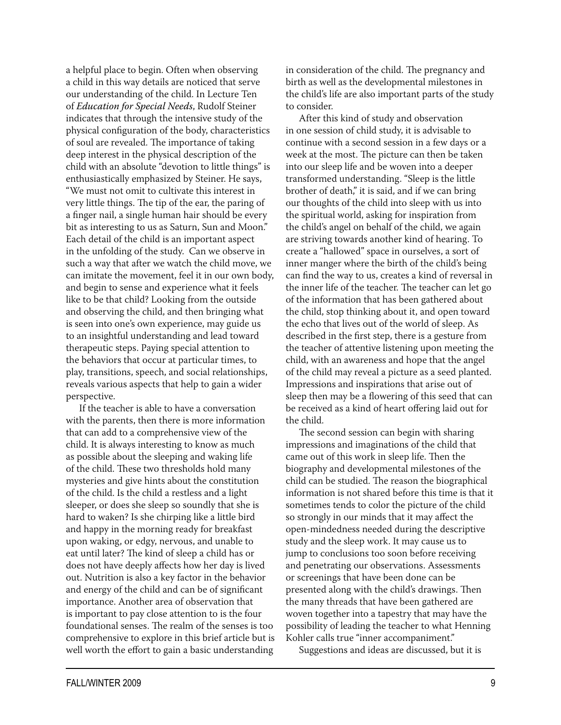a helpful place to begin. Often when observing a child in this way details are noticed that serve our understanding of the child. In Lecture Ten of *Education for Special Needs*, Rudolf Steiner indicates that through the intensive study of the physical configuration of the body, characteristics of soul are revealed. The importance of taking deep interest in the physical description of the child with an absolute "devotion to little things" is enthusiastically emphasized by Steiner. He says, "We must not omit to cultivate this interest in very little things. The tip of the ear, the paring of a finger nail, a single human hair should be every bit as interesting to us as Saturn, Sun and Moon." Each detail of the child is an important aspect in the unfolding of the study. Can we observe in such a way that after we watch the child move, we can imitate the movement, feel it in our own body, and begin to sense and experience what it feels like to be that child? Looking from the outside and observing the child, and then bringing what is seen into one's own experience, may guide us to an insightful understanding and lead toward therapeutic steps. Paying special attention to the behaviors that occur at particular times, to play, transitions, speech, and social relationships, reveals various aspects that help to gain a wider perspective.

If the teacher is able to have a conversation with the parents, then there is more information that can add to a comprehensive view of the child. It is always interesting to know as much as possible about the sleeping and waking life of the child. These two thresholds hold many mysteries and give hints about the constitution of the child. Is the child a restless and a light sleeper, or does she sleep so soundly that she is hard to waken? Is she chirping like a little bird and happy in the morning ready for breakfast upon waking, or edgy, nervous, and unable to eat until later? The kind of sleep a child has or does not have deeply affects how her day is lived out. Nutrition is also a key factor in the behavior and energy of the child and can be of significant importance. Another area of observation that is important to pay close attention to is the four foundational senses. The realm of the senses is too comprehensive to explore in this brief article but is well worth the effort to gain a basic understanding

in consideration of the child. The pregnancy and birth as well as the developmental milestones in the child's life are also important parts of the study to consider.

After this kind of study and observation in one session of child study, it is advisable to continue with a second session in a few days or a week at the most. The picture can then be taken into our sleep life and be woven into a deeper transformed understanding. "Sleep is the little brother of death," it is said, and if we can bring our thoughts of the child into sleep with us into the spiritual world, asking for inspiration from the child's angel on behalf of the child, we again are striving towards another kind of hearing. To create a "hallowed" space in ourselves, a sort of inner manger where the birth of the child's being can find the way to us, creates a kind of reversal in the inner life of the teacher. The teacher can let go of the information that has been gathered about the child, stop thinking about it, and open toward the echo that lives out of the world of sleep. As described in the first step, there is a gesture from the teacher of attentive listening upon meeting the child, with an awareness and hope that the angel of the child may reveal a picture as a seed planted. Impressions and inspirations that arise out of sleep then may be a flowering of this seed that can be received as a kind of heart offering laid out for the child.

The second session can begin with sharing impressions and imaginations of the child that came out of this work in sleep life. Then the biography and developmental milestones of the child can be studied. The reason the biographical information is not shared before this time is that it sometimes tends to color the picture of the child so strongly in our minds that it may affect the open-mindedness needed during the descriptive study and the sleep work. It may cause us to jump to conclusions too soon before receiving and penetrating our observations. Assessments or screenings that have been done can be presented along with the child's drawings. Then the many threads that have been gathered are woven together into a tapestry that may have the possibility of leading the teacher to what Henning Kohler calls true "inner accompaniment."

Suggestions and ideas are discussed, but it is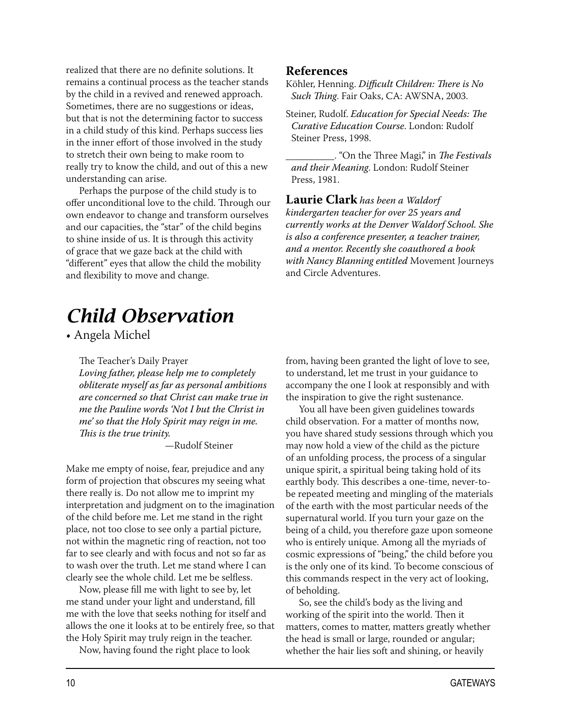realized that there are no definite solutions. It remains a continual process as the teacher stands by the child in a revived and renewed approach. Sometimes, there are no suggestions or ideas, but that is not the determining factor to success in a child study of this kind. Perhaps success lies in the inner effort of those involved in the study to stretch their own being to make room to really try to know the child, and out of this a new understanding can arise.

Perhaps the purpose of the child study is to offer unconditional love to the child. Through our own endeavor to change and transform ourselves and our capacities, the "star" of the child begins to shine inside of us. It is through this activity of grace that we gaze back at the child with "different" eyes that allow the child the mobility and flexibility to move and change.

# *Child Observation*

• Angela Michel

The Teacher's Daily Prayer *Loving father, please help me to completely obliterate myself as far as personal ambitions are concerned so that Christ can make true in me the Pauline words 'Not I but the Christ in me' so that the Holy Spirit may reign in me. This is the true trinity.*

—Rudolf Steiner

Make me empty of noise, fear, prejudice and any form of projection that obscures my seeing what there really is. Do not allow me to imprint my interpretation and judgment on to the imagination of the child before me. Let me stand in the right place, not too close to see only a partial picture, not within the magnetic ring of reaction, not too far to see clearly and with focus and not so far as to wash over the truth. Let me stand where I can clearly see the whole child. Let me be selfless.

Now, please fill me with light to see by, let me stand under your light and understand, fill me with the love that seeks nothing for itself and allows the one it looks at to be entirely free, so that the Holy Spirit may truly reign in the teacher.

Now, having found the right place to look

#### **References**

Köhler, Henning. *Difficult Children: There is No Such Thing*. Fair Oaks, CA: AWSNA, 2003.

Steiner, Rudolf. *Education for Special Needs: The Curative Education Course*. London: Rudolf Steiner Press, 1998.

\_\_\_\_\_\_\_\_\_\_. "On the Three Magi," in *The Festivals and their Meaning*. London: Rudolf Steiner Press, 1981.

**Laurie Clark** *has been a Waldorf kindergarten teacher for over 25 years and currently works at the Denver Waldorf School. She is also a conference presenter, a teacher trainer, and a mentor. Recently she coauthored a book with Nancy Blanning entitled* Movement Journeys and Circle Adventures.

from, having been granted the light of love to see, to understand, let me trust in your guidance to accompany the one I look at responsibly and with the inspiration to give the right sustenance.

You all have been given guidelines towards child observation. For a matter of months now, you have shared study sessions through which you may now hold a view of the child as the picture of an unfolding process, the process of a singular unique spirit, a spiritual being taking hold of its earthly body. This describes a one-time, never-tobe repeated meeting and mingling of the materials of the earth with the most particular needs of the supernatural world. If you turn your gaze on the being of a child, you therefore gaze upon someone who is entirely unique. Among all the myriads of cosmic expressions of "being," the child before you is the only one of its kind. To become conscious of this commands respect in the very act of looking, of beholding.

So, see the child's body as the living and working of the spirit into the world. Then it matters, comes to matter, matters greatly whether the head is small or large, rounded or angular; whether the hair lies soft and shining, or heavily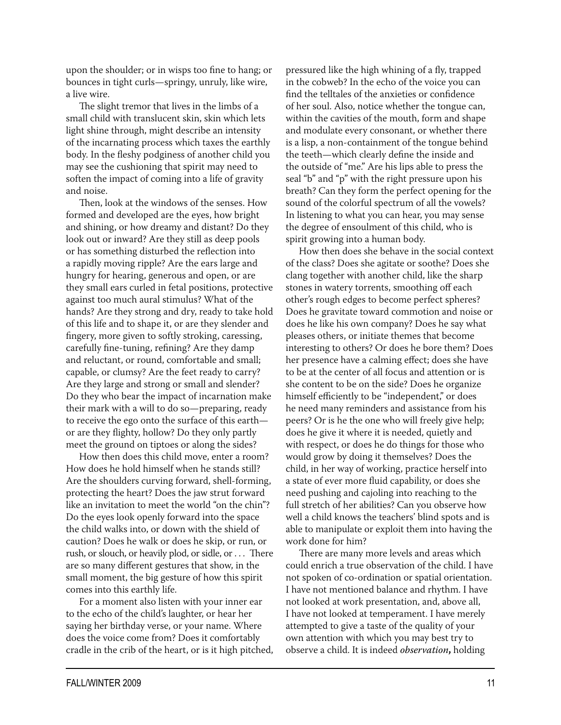upon the shoulder; or in wisps too fine to hang; or bounces in tight curls—springy, unruly, like wire, a live wire.

The slight tremor that lives in the limbs of a small child with translucent skin, skin which lets light shine through, might describe an intensity of the incarnating process which taxes the earthly body. In the fleshy podginess of another child you may see the cushioning that spirit may need to soften the impact of coming into a life of gravity and noise.

Then, look at the windows of the senses. How formed and developed are the eyes, how bright and shining, or how dreamy and distant? Do they look out or inward? Are they still as deep pools or has something disturbed the reflection into a rapidly moving ripple? Are the ears large and hungry for hearing, generous and open, or are they small ears curled in fetal positions, protective against too much aural stimulus? What of the hands? Are they strong and dry, ready to take hold of this life and to shape it, or are they slender and fingery, more given to softly stroking, caressing, carefully fine-tuning, refining? Are they damp and reluctant, or round, comfortable and small; capable, or clumsy? Are the feet ready to carry? Are they large and strong or small and slender? Do they who bear the impact of incarnation make their mark with a will to do so—preparing, ready to receive the ego onto the surface of this earth or are they flighty, hollow? Do they only partly meet the ground on tiptoes or along the sides?

How then does this child move, enter a room? How does he hold himself when he stands still? Are the shoulders curving forward, shell-forming, protecting the heart? Does the jaw strut forward like an invitation to meet the world "on the chin"? Do the eyes look openly forward into the space the child walks into, or down with the shield of caution? Does he walk or does he skip, or run, or rush, or slouch, or heavily plod, or sidle, or . . . There are so many different gestures that show, in the small moment, the big gesture of how this spirit comes into this earthly life.

For a moment also listen with your inner ear to the echo of the child's laughter, or hear her saying her birthday verse, or your name. Where does the voice come from? Does it comfortably cradle in the crib of the heart, or is it high pitched, pressured like the high whining of a fly, trapped in the cobweb? In the echo of the voice you can find the telltales of the anxieties or confidence of her soul. Also, notice whether the tongue can, within the cavities of the mouth, form and shape and modulate every consonant, or whether there is a lisp, a non-containment of the tongue behind the teeth—which clearly define the inside and the outside of "me." Are his lips able to press the seal "b" and "p" with the right pressure upon his breath? Can they form the perfect opening for the sound of the colorful spectrum of all the vowels? In listening to what you can hear, you may sense the degree of ensoulment of this child, who is spirit growing into a human body.

How then does she behave in the social context of the class? Does she agitate or soothe? Does she clang together with another child, like the sharp stones in watery torrents, smoothing off each other's rough edges to become perfect spheres? Does he gravitate toward commotion and noise or does he like his own company? Does he say what pleases others, or initiate themes that become interesting to others? Or does he bore them? Does her presence have a calming effect; does she have to be at the center of all focus and attention or is she content to be on the side? Does he organize himself efficiently to be "independent," or does he need many reminders and assistance from his peers? Or is he the one who will freely give help; does he give it where it is needed, quietly and with respect, or does he do things for those who would grow by doing it themselves? Does the child, in her way of working, practice herself into a state of ever more fluid capability, or does she need pushing and cajoling into reaching to the full stretch of her abilities? Can you observe how well a child knows the teachers' blind spots and is able to manipulate or exploit them into having the work done for him?

There are many more levels and areas which could enrich a true observation of the child. I have not spoken of co-ordination or spatial orientation. I have not mentioned balance and rhythm. I have not looked at work presentation, and, above all, I have not looked at temperament. I have merely attempted to give a taste of the quality of your own attention with which you may best try to observe a child. It is indeed *observation***,** holding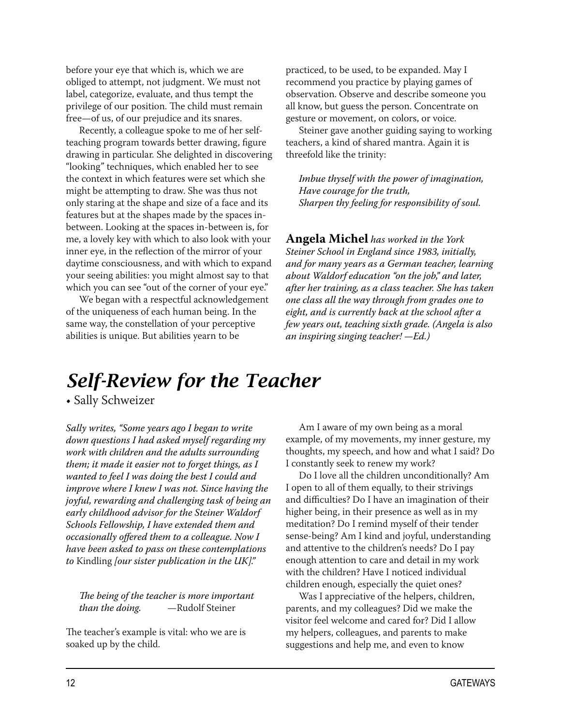before your eye that which is, which we are obliged to attempt, not judgment. We must not label, categorize, evaluate, and thus tempt the privilege of our position. The child must remain free—of us, of our prejudice and its snares.

Recently, a colleague spoke to me of her selfteaching program towards better drawing, figure drawing in particular. She delighted in discovering "looking" techniques, which enabled her to see the context in which features were set which she might be attempting to draw. She was thus not only staring at the shape and size of a face and its features but at the shapes made by the spaces inbetween. Looking at the spaces in-between is, for me, a lovely key with which to also look with your inner eye, in the reflection of the mirror of your daytime consciousness, and with which to expand your seeing abilities: you might almost say to that which you can see "out of the corner of your eye."

We began with a respectful acknowledgement of the uniqueness of each human being. In the same way, the constellation of your perceptive abilities is unique. But abilities yearn to be

practiced, to be used, to be expanded. May I recommend you practice by playing games of observation. Observe and describe someone you all know, but guess the person. Concentrate on gesture or movement, on colors, or voice.

Steiner gave another guiding saying to working teachers, a kind of shared mantra. Again it is threefold like the trinity:

*Imbue thyself with the power of imagination, Have courage for the truth, Sharpen thy feeling for responsibility of soul.*

**Angela Michel** *has worked in the York Steiner School in England since 1983, initially, and for many years as a German teacher, learning about Waldorf education "on the job," and later, after her training, as a class teacher. She has taken one class all the way through from grades one to eight, and is currently back at the school after a few years out, teaching sixth grade. (Angela is also an inspiring singing teacher! —Ed.)*

## *Self-Review for the Teacher*

• Sally Schweizer

*Sally writes, "Some years ago I began to write down questions I had asked myself regarding my work with children and the adults surrounding them; it made it easier not to forget things, as I wanted to feel I was doing the best I could and improve where I knew I was not. Since having the joyful, rewarding and challenging task of being an early childhood advisor for the Steiner Waldorf Schools Fellowship, I have extended them and occasionally offered them to a colleague. Now I have been asked to pass on these contemplations to* Kindling *[our sister publication in the UK]."* 

*The being of the teacher is more important than the doing.* —Rudolf Steiner

The teacher's example is vital: who we are is soaked up by the child.

Am I aware of my own being as a moral example, of my movements, my inner gesture, my thoughts, my speech, and how and what I said? Do I constantly seek to renew my work?

Do I love all the children unconditionally? Am I open to all of them equally, to their strivings and difficulties? Do I have an imagination of their higher being, in their presence as well as in my meditation? Do I remind myself of their tender sense-being? Am I kind and joyful, understanding and attentive to the children's needs? Do I pay enough attention to care and detail in my work with the children? Have I noticed individual children enough, especially the quiet ones?

Was I appreciative of the helpers, children, parents, and my colleagues? Did we make the visitor feel welcome and cared for? Did I allow my helpers, colleagues, and parents to make suggestions and help me, and even to know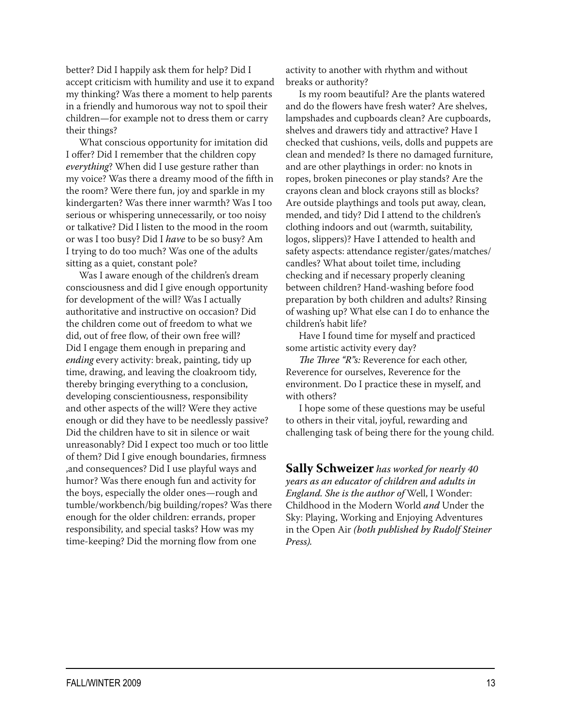better? Did I happily ask them for help? Did I accept criticism with humility and use it to expand my thinking? Was there a moment to help parents in a friendly and humorous way not to spoil their children—for example not to dress them or carry their things?

What conscious opportunity for imitation did I offer? Did I remember that the children copy *everything*? When did I use gesture rather than my voice? Was there a dreamy mood of the fifth in the room? Were there fun, joy and sparkle in my kindergarten? Was there inner warmth? Was I too serious or whispering unnecessarily, or too noisy or talkative? Did I listen to the mood in the room or was I too busy? Did I *have* to be so busy? Am I trying to do too much? Was one of the adults sitting as a quiet, constant pole?

Was I aware enough of the children's dream consciousness and did I give enough opportunity for development of the will? Was I actually authoritative and instructive on occasion? Did the children come out of freedom to what we did, out of free flow, of their own free will? Did I engage them enough in preparing and *ending* every activity: break, painting, tidy up time, drawing, and leaving the cloakroom tidy, thereby bringing everything to a conclusion, developing conscientiousness, responsibility and other aspects of the will? Were they active enough or did they have to be needlessly passive? Did the children have to sit in silence or wait unreasonably? Did I expect too much or too little of them? Did I give enough boundaries, firmness ,and consequences? Did I use playful ways and humor? Was there enough fun and activity for the boys, especially the older ones—rough and tumble/workbench/big building/ropes? Was there enough for the older children: errands, proper responsibility, and special tasks? How was my time-keeping? Did the morning flow from one

activity to another with rhythm and without breaks or authority?

Is my room beautiful? Are the plants watered and do the flowers have fresh water? Are shelves, lampshades and cupboards clean? Are cupboards, shelves and drawers tidy and attractive? Have I checked that cushions, veils, dolls and puppets are clean and mended? Is there no damaged furniture, and are other playthings in order: no knots in ropes, broken pinecones or play stands? Are the crayons clean and block crayons still as blocks? Are outside playthings and tools put away, clean, mended, and tidy? Did I attend to the children's clothing indoors and out (warmth, suitability, logos, slippers)? Have I attended to health and safety aspects: attendance register/gates/matches/ candles? What about toilet time, including checking and if necessary properly cleaning between children? Hand-washing before food preparation by both children and adults? Rinsing of washing up? What else can I do to enhance the children's habit life?

Have I found time for myself and practiced some artistic activity every day?

*The Three "R"s:* Reverence for each other, Reverence for ourselves, Reverence for the environment. Do I practice these in myself, and with others?

I hope some of these questions may be useful to others in their vital, joyful, rewarding and challenging task of being there for the young child.

**Sally Schweizer** *has worked for nearly 40 years as an educator of children and adults in England. She is the author of* Well, I Wonder: Childhood in the Modern World *and* Under the Sky: Playing, Working and Enjoying Adventures in the Open Air *(both published by Rudolf Steiner Press).*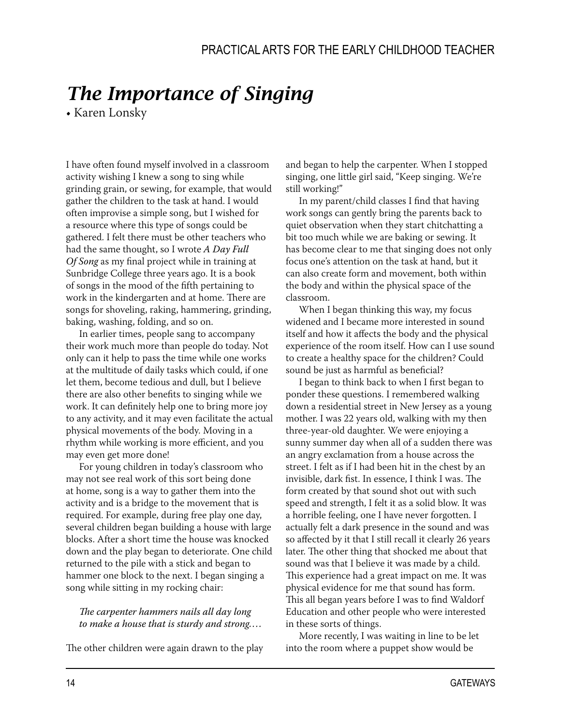# *The Importance of Singing*

• Karen Lonsky

I have often found myself involved in a classroom activity wishing I knew a song to sing while grinding grain, or sewing, for example, that would gather the children to the task at hand. I would often improvise a simple song, but I wished for a resource where this type of songs could be gathered. I felt there must be other teachers who had the same thought, so I wrote *A Day Full Of Song* as my final project while in training at Sunbridge College three years ago. It is a book of songs in the mood of the fifth pertaining to work in the kindergarten and at home. There are songs for shoveling, raking, hammering, grinding, baking, washing, folding, and so on.

In earlier times, people sang to accompany their work much more than people do today. Not only can it help to pass the time while one works at the multitude of daily tasks which could, if one let them, become tedious and dull, but I believe there are also other benefits to singing while we work. It can definitely help one to bring more joy to any activity, and it may even facilitate the actual physical movements of the body. Moving in a rhythm while working is more efficient, and you may even get more done!

For young children in today's classroom who may not see real work of this sort being done at home, song is a way to gather them into the activity and is a bridge to the movement that is required. For example, during free play one day, several children began building a house with large blocks. After a short time the house was knocked down and the play began to deteriorate. One child returned to the pile with a stick and began to hammer one block to the next. I began singing a song while sitting in my rocking chair:

#### *The carpenter hammers nails all day long to make a house that is sturdy and strong....*

The other children were again drawn to the play

and began to help the carpenter. When I stopped singing, one little girl said, "Keep singing. We're still working!"

In my parent/child classes I find that having work songs can gently bring the parents back to quiet observation when they start chitchatting a bit too much while we are baking or sewing. It has become clear to me that singing does not only focus one's attention on the task at hand, but it can also create form and movement, both within the body and within the physical space of the classroom.

When I began thinking this way, my focus widened and I became more interested in sound itself and how it affects the body and the physical experience of the room itself. How can I use sound to create a healthy space for the children? Could sound be just as harmful as beneficial?

I began to think back to when I first began to ponder these questions. I remembered walking down a residential street in New Jersey as a young mother. I was 22 years old, walking with my then three-year-old daughter. We were enjoying a sunny summer day when all of a sudden there was an angry exclamation from a house across the street. I felt as if I had been hit in the chest by an invisible, dark fist. In essence, I think I was. The form created by that sound shot out with such speed and strength, I felt it as a solid blow. It was a horrible feeling, one I have never forgotten. I actually felt a dark presence in the sound and was so affected by it that I still recall it clearly 26 years later. The other thing that shocked me about that sound was that I believe it was made by a child. This experience had a great impact on me. It was physical evidence for me that sound has form. This all began years before I was to find Waldorf Education and other people who were interested in these sorts of things.

More recently, I was waiting in line to be let into the room where a puppet show would be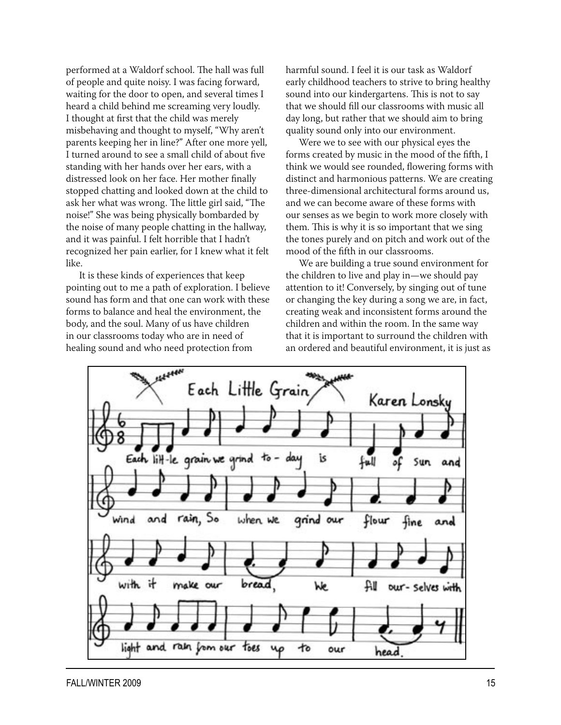performed at a Waldorf school. The hall was full of people and quite noisy. I was facing forward, waiting for the door to open, and several times I heard a child behind me screaming very loudly. I thought at first that the child was merely misbehaving and thought to myself, "Why aren't parents keeping her in line?" After one more yell, I turned around to see a small child of about five standing with her hands over her ears, with a distressed look on her face. Her mother finally stopped chatting and looked down at the child to ask her what was wrong. The little girl said, "The noise!" She was being physically bombarded by the noise of many people chatting in the hallway, and it was painful. I felt horrible that I hadn't recognized her pain earlier, for I knew what it felt like.

It is these kinds of experiences that keep pointing out to me a path of exploration. I believe sound has form and that one can work with these forms to balance and heal the environment, the body, and the soul. Many of us have children in our classrooms today who are in need of healing sound and who need protection from

harmful sound. I feel it is our task as Waldorf early childhood teachers to strive to bring healthy sound into our kindergartens. This is not to say that we should fill our classrooms with music all day long, but rather that we should aim to bring quality sound only into our environment.

Were we to see with our physical eyes the forms created by music in the mood of the fifth, I think we would see rounded, flowering forms with distinct and harmonious patterns. We are creating three-dimensional architectural forms around us, and we can become aware of these forms with our senses as we begin to work more closely with them. This is why it is so important that we sing the tones purely and on pitch and work out of the mood of the fifth in our classrooms.

We are building a true sound environment for the children to live and play in—we should pay attention to it! Conversely, by singing out of tune or changing the key during a song we are, in fact, creating weak and inconsistent forms around the children and within the room. In the same way that it is important to surround the children with an ordered and beautiful environment, it is just as

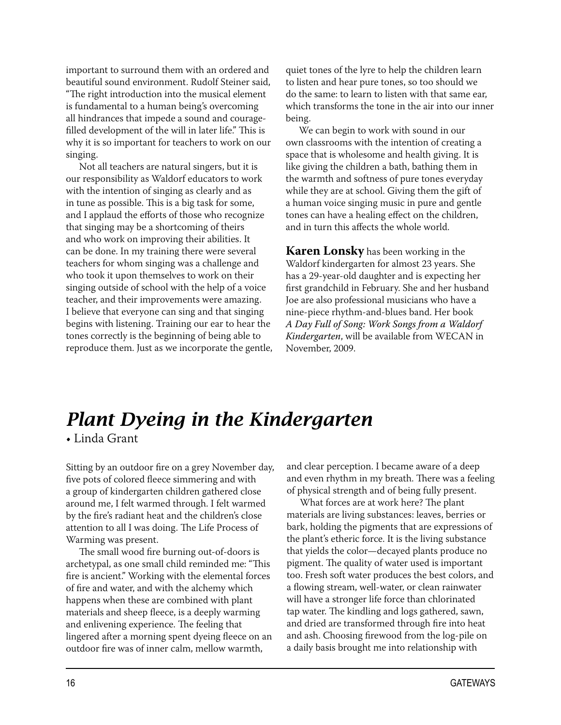important to surround them with an ordered and beautiful sound environment. Rudolf Steiner said, "The right introduction into the musical element is fundamental to a human being's overcoming all hindrances that impede a sound and couragefilled development of the will in later life." This is why it is so important for teachers to work on our singing.

Not all teachers are natural singers, but it is our responsibility as Waldorf educators to work with the intention of singing as clearly and as in tune as possible. This is a big task for some, and I applaud the efforts of those who recognize that singing may be a shortcoming of theirs and who work on improving their abilities. It can be done. In my training there were several teachers for whom singing was a challenge and who took it upon themselves to work on their singing outside of school with the help of a voice teacher, and their improvements were amazing. I believe that everyone can sing and that singing begins with listening. Training our ear to hear the tones correctly is the beginning of being able to reproduce them. Just as we incorporate the gentle,

quiet tones of the lyre to help the children learn to listen and hear pure tones, so too should we do the same: to learn to listen with that same ear, which transforms the tone in the air into our inner being.

We can begin to work with sound in our own classrooms with the intention of creating a space that is wholesome and health giving. It is like giving the children a bath, bathing them in the warmth and softness of pure tones everyday while they are at school. Giving them the gift of a human voice singing music in pure and gentle tones can have a healing effect on the children, and in turn this affects the whole world.

**Karen Lonsky** has been working in the Waldorf kindergarten for almost 23 years. She has a 29-year-old daughter and is expecting her first grandchild in February. She and her husband Joe are also professional musicians who have a nine-piece rhythm-and-blues band. Her book *A Day Full of Song: Work Songs from a Waldorf Kindergarten*, will be available from WECAN in November, 2009.

## *Plant Dyeing in the Kindergarten*

• Linda Grant

Sitting by an outdoor fire on a grey November day, five pots of colored fleece simmering and with a group of kindergarten children gathered close around me, I felt warmed through. I felt warmed by the fire's radiant heat and the children's close attention to all I was doing. The Life Process of Warming was present.

The small wood fire burning out-of-doors is archetypal, as one small child reminded me: "This fire is ancient." Working with the elemental forces of fire and water, and with the alchemy which happens when these are combined with plant materials and sheep fleece, is a deeply warming and enlivening experience. The feeling that lingered after a morning spent dyeing fleece on an outdoor fire was of inner calm, mellow warmth,

and clear perception. I became aware of a deep and even rhythm in my breath. There was a feeling of physical strength and of being fully present.

What forces are at work here? The plant materials are living substances: leaves, berries or bark, holding the pigments that are expressions of the plant's etheric force. It is the living substance that yields the color—decayed plants produce no pigment. The quality of water used is important too. Fresh soft water produces the best colors, and a flowing stream, well-water, or clean rainwater will have a stronger life force than chlorinated tap water. The kindling and logs gathered, sawn, and dried are transformed through fire into heat and ash. Choosing firewood from the log-pile on a daily basis brought me into relationship with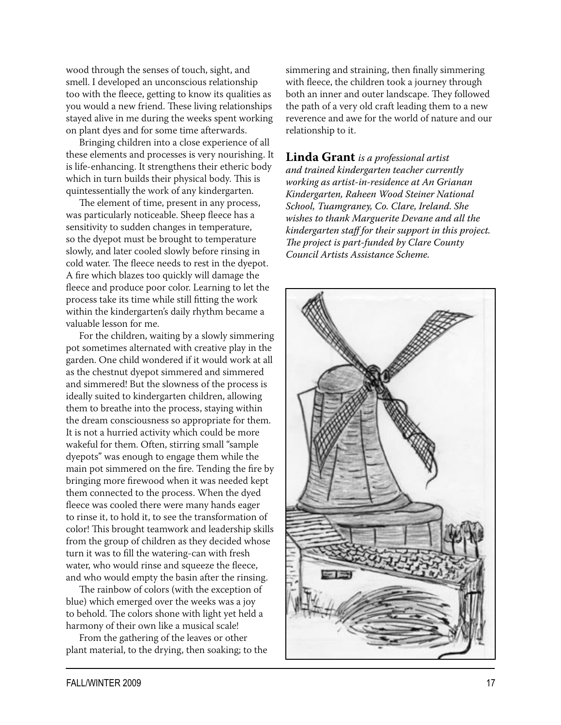wood through the senses of touch, sight, and smell. I developed an unconscious relationship too with the fleece, getting to know its qualities as you would a new friend. These living relationships stayed alive in me during the weeks spent working on plant dyes and for some time afterwards.

Bringing children into a close experience of all these elements and processes is very nourishing. It is life-enhancing. It strengthens their etheric body which in turn builds their physical body. This is quintessentially the work of any kindergarten.

The element of time, present in any process, was particularly noticeable. Sheep fleece has a sensitivity to sudden changes in temperature, so the dyepot must be brought to temperature slowly, and later cooled slowly before rinsing in cold water. The fleece needs to rest in the dyepot. A fire which blazes too quickly will damage the fleece and produce poor color. Learning to let the process take its time while still fitting the work within the kindergarten's daily rhythm became a valuable lesson for me.

For the children, waiting by a slowly simmering pot sometimes alternated with creative play in the garden. One child wondered if it would work at all as the chestnut dyepot simmered and simmered and simmered! But the slowness of the process is ideally suited to kindergarten children, allowing them to breathe into the process, staying within the dream consciousness so appropriate for them. It is not a hurried activity which could be more wakeful for them. Often, stirring small "sample dyepots" was enough to engage them while the main pot simmered on the fire. Tending the fire by bringing more firewood when it was needed kept them connected to the process. When the dyed fleece was cooled there were many hands eager to rinse it, to hold it, to see the transformation of color! This brought teamwork and leadership skills from the group of children as they decided whose turn it was to fill the watering-can with fresh water, who would rinse and squeeze the fleece, and who would empty the basin after the rinsing.

The rainbow of colors (with the exception of blue) which emerged over the weeks was a joy to behold. The colors shone with light yet held a harmony of their own like a musical scale!

From the gathering of the leaves or other plant material, to the drying, then soaking; to the simmering and straining, then finally simmering with fleece, the children took a journey through both an inner and outer landscape. They followed the path of a very old craft leading them to a new reverence and awe for the world of nature and our relationship to it.

**Linda Grant** *is a professional artist and trained kindergarten teacher currently working as artist-in-residence at An Grianan Kindergarten, Raheen Wood Steiner National School, Tuamgraney, Co. Clare, Ireland. She wishes to thank Marguerite Devane and all the kindergarten staff for their support in this project. The project is part-funded by Clare County Council Artists Assistance Scheme.*

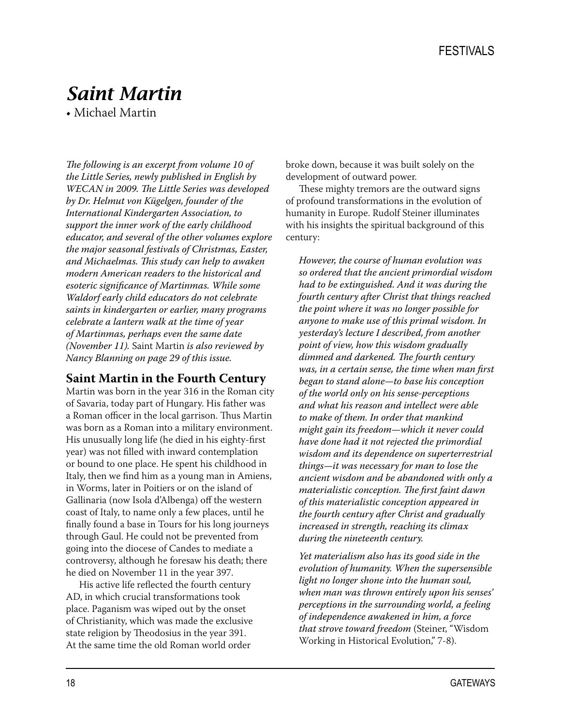## *Saint Martin*

• Michael Martin

*The following is an excerpt from volume 10 of the Little Series, newly published in English by WECAN in 2009. The Little Series was developed by Dr. Helmut von Kügelgen, founder of the International Kindergarten Association, to support the inner work of the early childhood educator, and several of the other volumes explore the major seasonal festivals of Christmas, Easter, and Michaelmas. This study can help to awaken modern American readers to the historical and esoteric significance of Martinmas. While some Waldorf early child educators do not celebrate saints in kindergarten or earlier, many programs celebrate a lantern walk at the time of year of Martinmas, perhaps even the same date (November 11).* Saint Martin *is also reviewed by Nancy Blanning on page 29 of this issue.*

#### **Saint Martin in the Fourth Century**

Martin was born in the year 316 in the Roman city of Savaria, today part of Hungary. His father was a Roman officer in the local garrison. Thus Martin was born as a Roman into a military environment. His unusually long life (he died in his eighty-first year) was not filled with inward contemplation or bound to one place. He spent his childhood in Italy, then we find him as a young man in Amiens, in Worms, later in Poitiers or on the island of Gallinaria (now Isola d'Albenga) off the western coast of Italy, to name only a few places, until he finally found a base in Tours for his long journeys through Gaul. He could not be prevented from going into the diocese of Candes to mediate a controversy, although he foresaw his death; there he died on November 11 in the year 397.

His active life reflected the fourth century AD, in which crucial transformations took place. Paganism was wiped out by the onset of Christianity, which was made the exclusive state religion by Theodosius in the year 391. At the same time the old Roman world order

broke down, because it was built solely on the development of outward power.

These mighty tremors are the outward signs of profound transformations in the evolution of humanity in Europe. Rudolf Steiner illuminates with his insights the spiritual background of this century:

*However, the course of human evolution was so ordered that the ancient primordial wisdom had to be extinguished. And it was during the fourth century after Christ that things reached the point where it was no longer possible for anyone to make use of this primal wisdom. In yesterday's lecture I described, from another point of view, how this wisdom gradually dimmed and darkened. The fourth century was, in a certain sense, the time when man first began to stand alone—to base his conception of the world only on his sense-perceptions and what his reason and intellect were able to make of them. In order that mankind might gain its freedom—which it never could have done had it not rejected the primordial wisdom and its dependence on superterrestrial things—it was necessary for man to lose the ancient wisdom and be abandoned with only a materialistic conception. The first faint dawn of this materialistic conception appeared in the fourth century after Christ and gradually increased in strength, reaching its climax during the nineteenth century.*

*Yet materialism also has its good side in the evolution of humanity. When the supersensible light no longer shone into the human soul, when man was thrown entirely upon his senses' perceptions in the surrounding world, a feeling of independence awakened in him, a force that strove toward freedom* (Steiner, "Wisdom Working in Historical Evolution," 7-8).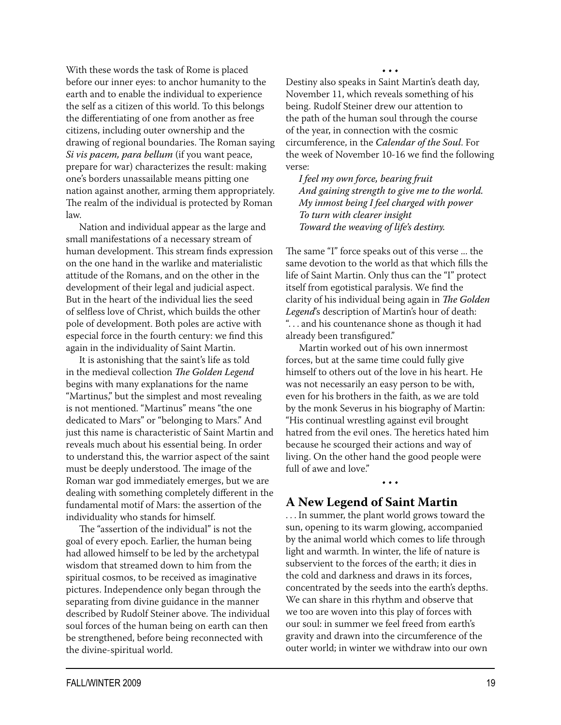With these words the task of Rome is placed before our inner eyes: to anchor humanity to the earth and to enable the individual to experience the self as a citizen of this world. To this belongs the differentiating of one from another as free citizens, including outer ownership and the drawing of regional boundaries. The Roman saying *Si vis pacem, para bellum* (if you want peace, prepare for war) characterizes the result: making one's borders unassailable means pitting one nation against another, arming them appropriately. The realm of the individual is protected by Roman law.

Nation and individual appear as the large and small manifestations of a necessary stream of human development. This stream finds expression on the one hand in the warlike and materialistic attitude of the Romans, and on the other in the development of their legal and judicial aspect. But in the heart of the individual lies the seed of selfless love of Christ, which builds the other pole of development. Both poles are active with especial force in the fourth century: we find this again in the individuality of Saint Martin.

It is astonishing that the saint's life as told in the medieval collection *The Golden Legend*  begins with many explanations for the name "Martinus," but the simplest and most revealing is not mentioned. "Martinus" means "the one dedicated to Mars" or "belonging to Mars." And just this name is characteristic of Saint Martin and reveals much about his essential being. In order to understand this, the warrior aspect of the saint must be deeply understood. The image of the Roman war god immediately emerges, but we are dealing with something completely different in the fundamental motif of Mars: the assertion of the individuality who stands for himself.

The "assertion of the individual" is not the goal of every epoch. Earlier, the human being had allowed himself to be led by the archetypal wisdom that streamed down to him from the spiritual cosmos, to be received as imaginative pictures. Independence only began through the separating from divine guidance in the manner described by Rudolf Steiner above. The individual soul forces of the human being on earth can then be strengthened, before being reconnected with the divine-spiritual world.

• • •

Destiny also speaks in Saint Martin's death day, November 11, which reveals something of his being. Rudolf Steiner drew our attention to the path of the human soul through the course of the year, in connection with the cosmic circumference, in the *Calendar of the Soul*. For the week of November 10-16 we find the following verse:

*I feel my own force, bearing fruit And gaining strength to give me to the world. My inmost being I feel charged with power To turn with clearer insight Toward the weaving of life's destiny.*

The same "I" force speaks out of this verse ... the same devotion to the world as that which fills the life of Saint Martin. Only thus can the "I" protect itself from egotistical paralysis. We find the clarity of his individual being again in *The Golden Legend*'s description of Martin's hour of death: ". . . and his countenance shone as though it had already been transfigured."

Martin worked out of his own innermost forces, but at the same time could fully give himself to others out of the love in his heart. He was not necessarily an easy person to be with, even for his brothers in the faith, as we are told by the monk Severus in his biography of Martin: "His continual wrestling against evil brought hatred from the evil ones. The heretics hated him because he scourged their actions and way of living. On the other hand the good people were full of awe and love."

• • •

### **A New Legend of Saint Martin**

. . . In summer, the plant world grows toward the sun, opening to its warm glowing, accompanied by the animal world which comes to life through light and warmth. In winter, the life of nature is subservient to the forces of the earth; it dies in the cold and darkness and draws in its forces, concentrated by the seeds into the earth's depths. We can share in this rhythm and observe that we too are woven into this play of forces with our soul: in summer we feel freed from earth's gravity and drawn into the circumference of the outer world; in winter we withdraw into our own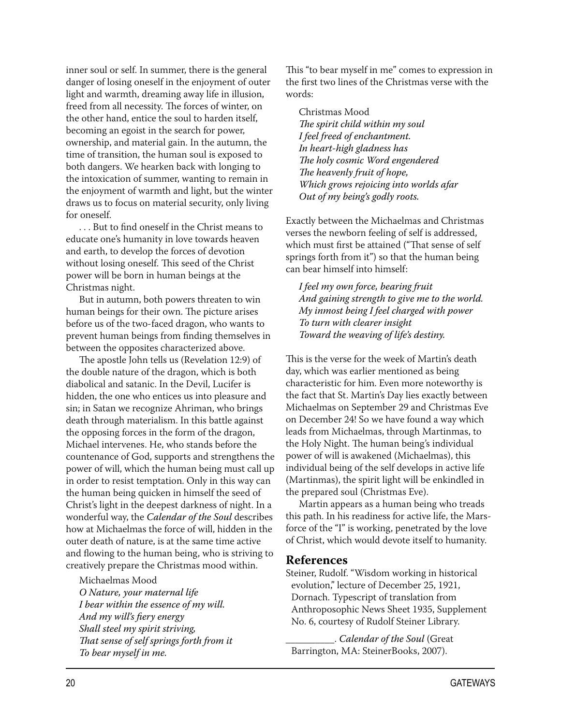inner soul or self. In summer, there is the general danger of losing oneself in the enjoyment of outer light and warmth, dreaming away life in illusion, freed from all necessity. The forces of winter, on the other hand, entice the soul to harden itself, becoming an egoist in the search for power, ownership, and material gain. In the autumn, the time of transition, the human soul is exposed to both dangers. We hearken back with longing to the intoxication of summer, wanting to remain in the enjoyment of warmth and light, but the winter draws us to focus on material security, only living for oneself.

. . . But to find oneself in the Christ means to educate one's humanity in love towards heaven and earth, to develop the forces of devotion without losing oneself. This seed of the Christ power will be born in human beings at the Christmas night.

But in autumn, both powers threaten to win human beings for their own. The picture arises before us of the two-faced dragon, who wants to prevent human beings from finding themselves in between the opposites characterized above.

The apostle John tells us (Revelation 12:9) of the double nature of the dragon, which is both diabolical and satanic. In the Devil, Lucifer is hidden, the one who entices us into pleasure and sin; in Satan we recognize Ahriman, who brings death through materialism. In this battle against the opposing forces in the form of the dragon, Michael intervenes. He, who stands before the countenance of God, supports and strengthens the power of will, which the human being must call up in order to resist temptation. Only in this way can the human being quicken in himself the seed of Christ's light in the deepest darkness of night. In a wonderful way, the *Calendar of the Soul* describes how at Michaelmas the force of will, hidden in the outer death of nature, is at the same time active and flowing to the human being, who is striving to creatively prepare the Christmas mood within.

Michaelmas Mood *O Nature, your maternal life I bear within the essence of my will. And my will's fiery energy Shall steel my spirit striving, That sense of self springs forth from it To bear myself in me.*

This "to bear myself in me" comes to expression in the first two lines of the Christmas verse with the words:

Christmas Mood *The spirit child within my soul I feel freed of enchantment. In heart-high gladness has The holy cosmic Word engendered The heavenly fruit of hope, Which grows rejoicing into worlds afar Out of my being's godly roots.*

Exactly between the Michaelmas and Christmas verses the newborn feeling of self is addressed, which must first be attained ("That sense of self springs forth from it") so that the human being can bear himself into himself:

*I feel my own force, bearing fruit And gaining strength to give me to the world. My inmost being I feel charged with power To turn with clearer insight Toward the weaving of life's destiny.*

This is the verse for the week of Martin's death day, which was earlier mentioned as being characteristic for him. Even more noteworthy is the fact that St. Martin's Day lies exactly between Michaelmas on September 29 and Christmas Eve on December 24! So we have found a way which leads from Michaelmas, through Martinmas, to the Holy Night. The human being's individual power of will is awakened (Michaelmas), this individual being of the self develops in active life (Martinmas), the spirit light will be enkindled in the prepared soul (Christmas Eve).

Martin appears as a human being who treads this path. In his readiness for active life, the Marsforce of the "I" is working, penetrated by the love of Christ, which would devote itself to humanity.

#### **References**

Steiner, Rudolf. "Wisdom working in historical evolution," lecture of December 25, 1921, Dornach. Typescript of translation from Anthroposophic News Sheet 1935, Supplement No. 6, courtesy of Rudolf Steiner Library.

\_\_\_\_\_\_\_\_\_\_. *Calendar of the Soul* (Great Barrington, MA: SteinerBooks, 2007).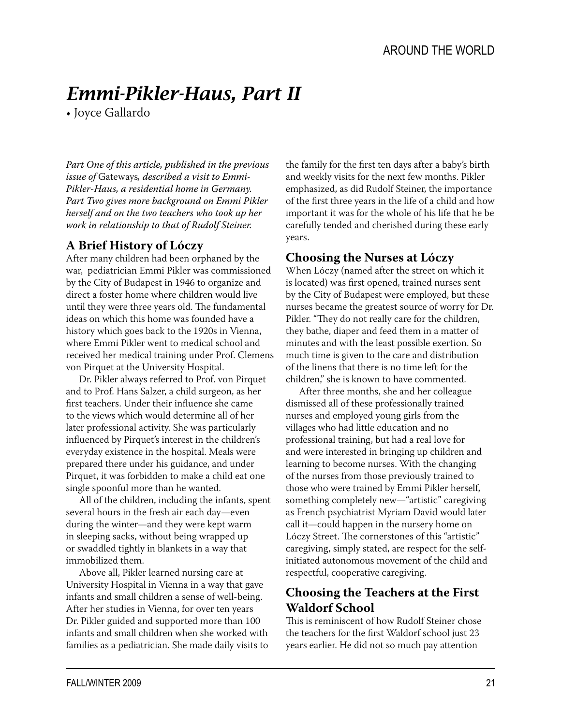# *Emmi-Pikler-Haus, Part II*

• Joyce Gallardo

*Part One of this article, published in the previous issue of* Gateways*, described a visit to Emmi-Pikler-Haus, a residential home in Germany. Part Two gives more background on Emmi Pikler herself and on the two teachers who took up her work in relationship to that of Rudolf Steiner.*

## **A Brief History of Lóczy**

After many children had been orphaned by the war, pediatrician Emmi Pikler was commissioned by the City of Budapest in 1946 to organize and direct a foster home where children would live until they were three years old. The fundamental ideas on which this home was founded have a history which goes back to the 1920s in Vienna, where Emmi Pikler went to medical school and received her medical training under Prof. Clemens von Pirquet at the University Hospital.

Dr. Pikler always referred to Prof. von Pirquet and to Prof. Hans Salzer, a child surgeon, as her first teachers. Under their influence she came to the views which would determine all of her later professional activity. She was particularly influenced by Pirquet's interest in the children's everyday existence in the hospital. Meals were prepared there under his guidance, and under Pirquet, it was forbidden to make a child eat one single spoonful more than he wanted.

All of the children, including the infants, spent several hours in the fresh air each day—even during the winter—and they were kept warm in sleeping sacks, without being wrapped up or swaddled tightly in blankets in a way that immobilized them.

Above all, Pikler learned nursing care at University Hospital in Vienna in a way that gave infants and small children a sense of well-being. After her studies in Vienna, for over ten years Dr. Pikler guided and supported more than 100 infants and small children when she worked with families as a pediatrician. She made daily visits to

the family for the first ten days after a baby's birth and weekly visits for the next few months. Pikler emphasized, as did Rudolf Steiner, the importance of the first three years in the life of a child and how important it was for the whole of his life that he be carefully tended and cherished during these early years.

## **Choosing the Nurses at Lóczy**

When Lóczy (named after the street on which it is located) was first opened, trained nurses sent by the City of Budapest were employed, but these nurses became the greatest source of worry for Dr. Pikler. "They do not really care for the children, they bathe, diaper and feed them in a matter of minutes and with the least possible exertion. So much time is given to the care and distribution of the linens that there is no time left for the children," she is known to have commented.

After three months, she and her colleague dismissed all of these professionally trained nurses and employed young girls from the villages who had little education and no professional training, but had a real love for and were interested in bringing up children and learning to become nurses. With the changing of the nurses from those previously trained to those who were trained by Emmi Pikler herself, something completely new—"artistic" caregiving as French psychiatrist Myriam David would later call it—could happen in the nursery home on Lóczy Street. The cornerstones of this "artistic" caregiving, simply stated, are respect for the selfinitiated autonomous movement of the child and respectful, cooperative caregiving.

## **Choosing the Teachers at the First Waldorf School**

This is reminiscent of how Rudolf Steiner chose the teachers for the first Waldorf school just 23 years earlier. He did not so much pay attention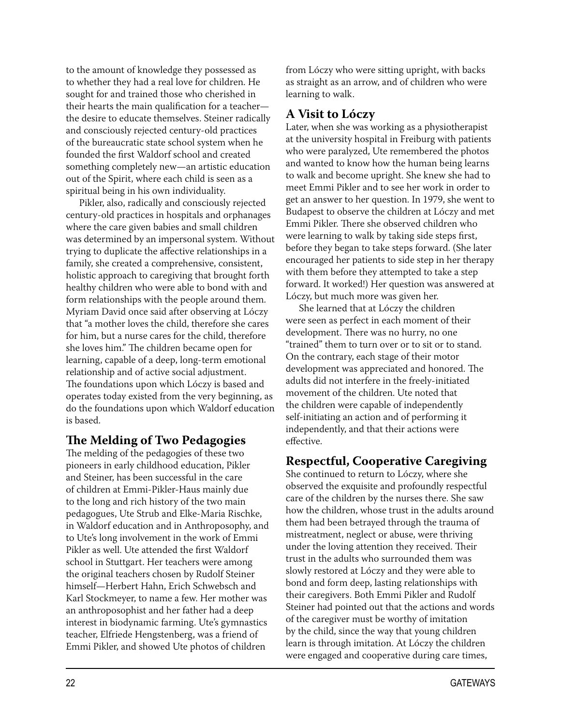to the amount of knowledge they possessed as to whether they had a real love for children. He sought for and trained those who cherished in their hearts the main qualification for a teacher the desire to educate themselves. Steiner radically and consciously rejected century-old practices of the bureaucratic state school system when he founded the first Waldorf school and created something completely new—an artistic education out of the Spirit, where each child is seen as a spiritual being in his own individuality.

Pikler, also, radically and consciously rejected century-old practices in hospitals and orphanages where the care given babies and small children was determined by an impersonal system. Without trying to duplicate the affective relationships in a family, she created a comprehensive, consistent, holistic approach to caregiving that brought forth healthy children who were able to bond with and form relationships with the people around them. Myriam David once said after observing at Lóczy that "a mother loves the child, therefore she cares for him, but a nurse cares for the child, therefore she loves him." The children became open for learning, capable of a deep, long-term emotional relationship and of active social adjustment. The foundations upon which Lóczy is based and operates today existed from the very beginning, as do the foundations upon which Waldorf education is based.

### **The Melding of Two Pedagogies**

The melding of the pedagogies of these two pioneers in early childhood education, Pikler and Steiner, has been successful in the care of children at Emmi-Pikler-Haus mainly due to the long and rich history of the two main pedagogues, Ute Strub and Elke-Maria Rischke, in Waldorf education and in Anthroposophy, and to Ute's long involvement in the work of Emmi Pikler as well. Ute attended the first Waldorf school in Stuttgart. Her teachers were among the original teachers chosen by Rudolf Steiner himself—Herbert Hahn, Erich Schwebsch and Karl Stockmeyer, to name a few. Her mother was an anthroposophist and her father had a deep interest in biodynamic farming. Ute's gymnastics teacher, Elfriede Hengstenberg, was a friend of Emmi Pikler, and showed Ute photos of children

from Lóczy who were sitting upright, with backs as straight as an arrow, and of children who were learning to walk.

## **A Visit to Lóczy**

Later, when she was working as a physiotherapist at the university hospital in Freiburg with patients who were paralyzed, Ute remembered the photos and wanted to know how the human being learns to walk and become upright. She knew she had to meet Emmi Pikler and to see her work in order to get an answer to her question. In 1979, she went to Budapest to observe the children at Lóczy and met Emmi Pikler. There she observed children who were learning to walk by taking side steps first, before they began to take steps forward. (She later encouraged her patients to side step in her therapy with them before they attempted to take a step forward. It worked!) Her question was answered at Lóczy, but much more was given her.

She learned that at Lóczy the children were seen as perfect in each moment of their development. There was no hurry, no one "trained" them to turn over or to sit or to stand. On the contrary, each stage of their motor development was appreciated and honored. The adults did not interfere in the freely-initiated movement of the children. Ute noted that the children were capable of independently self-initiating an action and of performing it independently, and that their actions were effective.

## **Respectful, Cooperative Caregiving**

She continued to return to Lóczy, where she observed the exquisite and profoundly respectful care of the children by the nurses there. She saw how the children, whose trust in the adults around them had been betrayed through the trauma of mistreatment, neglect or abuse, were thriving under the loving attention they received. Their trust in the adults who surrounded them was slowly restored at Lóczy and they were able to bond and form deep, lasting relationships with their caregivers. Both Emmi Pikler and Rudolf Steiner had pointed out that the actions and words of the caregiver must be worthy of imitation by the child, since the way that young children learn is through imitation. At Lóczy the children were engaged and cooperative during care times,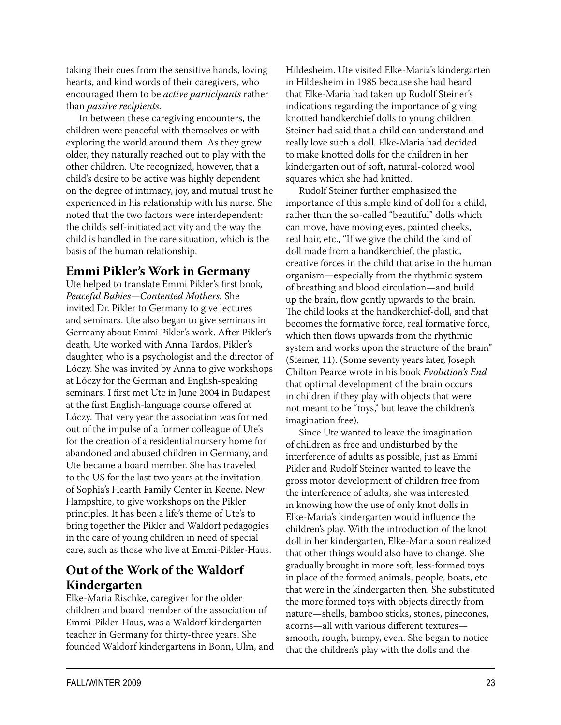taking their cues from the sensitive hands, loving hearts, and kind words of their caregivers, who encouraged them to be *active participants* rather than *passive recipients.*

In between these caregiving encounters, the children were peaceful with themselves or with exploring the world around them. As they grew older, they naturally reached out to play with the other children. Ute recognized, however, that a child's desire to be active was highly dependent on the degree of intimacy, joy, and mutual trust he experienced in his relationship with his nurse. She noted that the two factors were interdependent: the child's self-initiated activity and the way the child is handled in the care situation, which is the basis of the human relationship.

## **Emmi Pikler's Work in Germany**

Ute helped to translate Emmi Pikler's first book*, Peaceful Babies—Contented Mothers.* She invited Dr. Pikler to Germany to give lectures and seminars. Ute also began to give seminars in Germany about Emmi Pikler's work. After Pikler's death, Ute worked with Anna Tardos, Pikler's daughter, who is a psychologist and the director of Lóczy. She was invited by Anna to give workshops at Lóczy for the German and English-speaking seminars. I first met Ute in June 2004 in Budapest at the first English-language course offered at Lóczy. That very year the association was formed out of the impulse of a former colleague of Ute's for the creation of a residential nursery home for abandoned and abused children in Germany, and Ute became a board member. She has traveled to the US for the last two years at the invitation of Sophia's Hearth Family Center in Keene, New Hampshire, to give workshops on the Pikler principles. It has been a life's theme of Ute's to bring together the Pikler and Waldorf pedagogies in the care of young children in need of special care, such as those who live at Emmi-Pikler-Haus.

## **Out of the Work of the Waldorf Kindergarten**

Elke-Maria Rischke, caregiver for the older children and board member of the association of Emmi-Pikler-Haus, was a Waldorf kindergarten teacher in Germany for thirty-three years. She founded Waldorf kindergartens in Bonn, Ulm, and

Hildesheim. Ute visited Elke-Maria's kindergarten in Hildesheim in 1985 because she had heard that Elke-Maria had taken up Rudolf Steiner's indications regarding the importance of giving knotted handkerchief dolls to young children. Steiner had said that a child can understand and really love such a doll. Elke-Maria had decided to make knotted dolls for the children in her kindergarten out of soft, natural-colored wool squares which she had knitted.

Rudolf Steiner further emphasized the importance of this simple kind of doll for a child, rather than the so-called "beautiful" dolls which can move, have moving eyes, painted cheeks, real hair, etc., "If we give the child the kind of doll made from a handkerchief, the plastic, creative forces in the child that arise in the human organism—especially from the rhythmic system of breathing and blood circulation—and build up the brain, flow gently upwards to the brain. The child looks at the handkerchief-doll, and that becomes the formative force, real formative force, which then flows upwards from the rhythmic system and works upon the structure of the brain" (Steiner, 11). (Some seventy years later, Joseph Chilton Pearce wrote in his book *Evolution's End*  that optimal development of the brain occurs in children if they play with objects that were not meant to be "toys," but leave the children's imagination free).

Since Ute wanted to leave the imagination of children as free and undisturbed by the interference of adults as possible, just as Emmi Pikler and Rudolf Steiner wanted to leave the gross motor development of children free from the interference of adults, she was interested in knowing how the use of only knot dolls in Elke-Maria's kindergarten would influence the children's play. With the introduction of the knot doll in her kindergarten, Elke-Maria soon realized that other things would also have to change. She gradually brought in more soft, less-formed toys in place of the formed animals, people, boats, etc. that were in the kindergarten then. She substituted the more formed toys with objects directly from nature—shells, bamboo sticks, stones, pinecones, acorns—all with various different textures smooth, rough, bumpy, even. She began to notice that the children's play with the dolls and the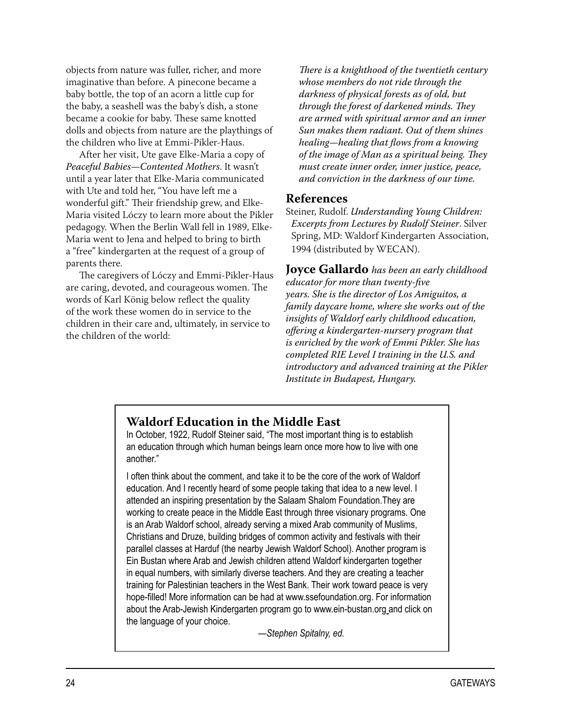objects from nature was fuller, richer, and more imaginative than before. A pinecone became a baby bottle, the top of an acorn a little cup for the baby, a seashell was the baby's dish, a stone became a cookie for baby. These same knotted dolls and objects from nature are the playthings of the children who live at Emmi-Pikler-Haus.

After her visit, Ute gave Elke-Maria a copy of *Peaceful Babies—Contented Mothers*. It wasn't until a year later that Elke-Maria communicated with Ute and told her, "You have left me a wonderful gift." Their friendship grew, and Elke-Maria visited Lóczy to learn more about the Pikler pedagogy. When the Berlin Wall fell in 1989, Elke-Maria went to Jena and helped to bring to birth a "free" kindergarten at the request of a group of parents there.

The caregivers of Lóczy and Emmi-Pikler-Haus are caring, devoted, and courageous women. The words of Karl König below reflect the quality of the work these women do in service to the children in their care and, ultimately, in service to the children of the world:

*There is a knighthood of the twentieth century whose members do not ride through the darkness of physical forests as of old, but through the forest of darkened minds. They are armed with spiritual armor and an inner Sun makes them radiant. Out of them shines healing—healing that flows from a knowing of the image of Man as a spiritual being. They must create inner order, inner justice, peace, and conviction in the darkness of our time.*

#### **References**

Steiner, Rudolf. *Understanding Young Children: Excerpts from Lectures by Rudolf Steiner*. Silver Spring, MD: Waldorf Kindergarten Association, 1994 (distributed by WECAN).

**Joyce Gallardo** *has been an early childhood educator for more than twenty-five years. She is the director of Los Amiguitos, a family daycare home, where she works out of the insights of Waldorf early childhood education, offering a kindergarten-nursery program that is enriched by the work of Emmi Pikler. She has completed RIE Level I training in the U.S. and introductory and advanced training at the Pikler Institute in Budapest, Hungary.*

### **Waldorf Education in the Middle East**

In October, 1922, Rudolf Steiner said, "The most important thing is to establish an education through which human beings learn once more how to live with one another."

I often think about the comment, and take it to be the core of the work of Waldorf education. And I recently heard of some people taking that idea to a new level. I attended an inspiring presentation by the Salaam Shalom Foundation.They are working to create peace in the Middle East through three visionary programs. One is an Arab Waldorf school, already serving a mixed Arab community of Muslims, Christians and Druze, building bridges of common activity and festivals with their parallel classes at Harduf (the nearby Jewish Waldorf School). Another program is Ein Bustan where Arab and Jewish children attend Waldorf kindergarten together in equal numbers, with similarly diverse teachers. And they are creating a teacher training for Palestinian teachers in the West Bank. Their work toward peace is very hope-filled! More information can be had at www.ssefoundation.org. For information about the Arab-Jewish Kindergarten program go to www.ein-bustan.org and click on the language of your choice.

 *—Stephen Spitalny, ed.*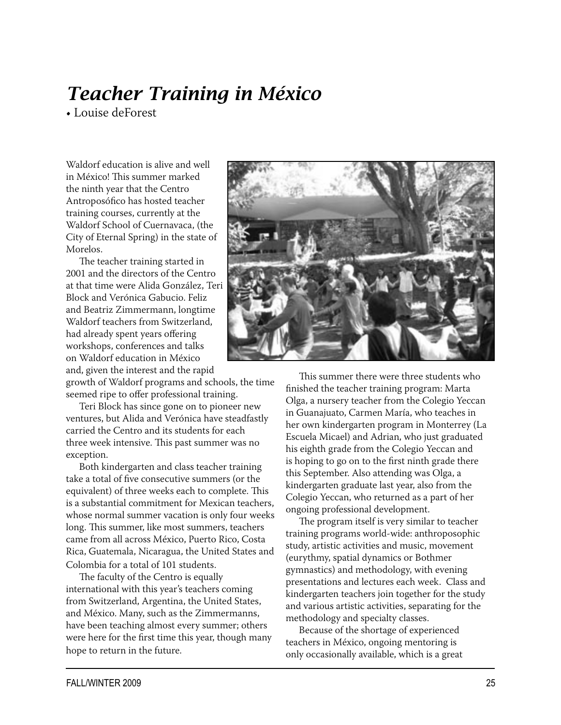# *Teacher Training in México*

• Louise deForest

Waldorf education is alive and well in México! This summer marked the ninth year that the Centro Antroposófico has hosted teacher training courses, currently at the Waldorf School of Cuernavaca, (the City of Eternal Spring) in the state of Morelos.

The teacher training started in 2001 and the directors of the Centro at that time were Alida González, Teri Block and Verónica Gabucio. Feliz and Beatriz Zimmermann, longtime Waldorf teachers from Switzerland, had already spent years offering workshops, conferences and talks on Waldorf education in México and, given the interest and the rapid

growth of Waldorf programs and schools, the time seemed ripe to offer professional training.

Teri Block has since gone on to pioneer new ventures, but Alida and Verónica have steadfastly carried the Centro and its students for each three week intensive. This past summer was no exception.

Both kindergarten and class teacher training take a total of five consecutive summers (or the equivalent) of three weeks each to complete. This is a substantial commitment for Mexican teachers, whose normal summer vacation is only four weeks long. This summer, like most summers, teachers came from all across México, Puerto Rico, Costa Rica, Guatemala, Nicaragua, the United States and Colombia for a total of 101 students.

The faculty of the Centro is equally international with this year's teachers coming from Switzerland, Argentina, the United States, and México. Many, such as the Zimmermanns, have been teaching almost every summer; others were here for the first time this year, though many hope to return in the future.



This summer there were three students who finished the teacher training program: Marta Olga, a nursery teacher from the Colegio Yeccan in Guanajuato, Carmen María, who teaches in her own kindergarten program in Monterrey (La Escuela Micael) and Adrian, who just graduated his eighth grade from the Colegio Yeccan and is hoping to go on to the first ninth grade there this September. Also attending was Olga, a kindergarten graduate last year, also from the Colegio Yeccan, who returned as a part of her ongoing professional development.

The program itself is very similar to teacher training programs world-wide: anthroposophic study, artistic activities and music, movement (eurythmy, spatial dynamics or Bothmer gymnastics) and methodology, with evening presentations and lectures each week. Class and kindergarten teachers join together for the study and various artistic activities, separating for the methodology and specialty classes.

Because of the shortage of experienced teachers in México, ongoing mentoring is only occasionally available, which is a great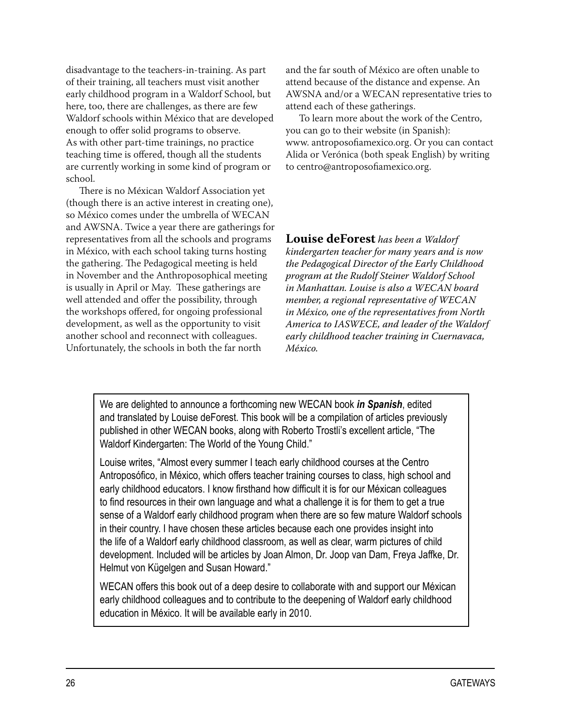disadvantage to the teachers-in-training. As part of their training, all teachers must visit another early childhood program in a Waldorf School, but here, too, there are challenges, as there are few Waldorf schools within México that are developed enough to offer solid programs to observe. As with other part-time trainings, no practice teaching time is offered, though all the students are currently working in some kind of program or school.

There is no Méxican Waldorf Association yet (though there is an active interest in creating one), so México comes under the umbrella of WECAN and AWSNA. Twice a year there are gatherings for representatives from all the schools and programs in México, with each school taking turns hosting the gathering. The Pedagogical meeting is held in November and the Anthroposophical meeting is usually in April or May. These gatherings are well attended and offer the possibility, through the workshops offered, for ongoing professional development, as well as the opportunity to visit another school and reconnect with colleagues. Unfortunately, the schools in both the far north

and the far south of México are often unable to attend because of the distance and expense. An AWSNA and/or a WECAN representative tries to attend each of these gatherings.

To learn more about the work of the Centro, you can go to their website (in Spanish): www. antroposofiamexico.org. Or you can contact Alida or Verónica (both speak English) by writing to centro@antroposofiamexico.org.

**Louise deForest** *has been a Waldorf kindergarten teacher for many years and is now the Pedagogical Director of the Early Childhood program at the Rudolf Steiner Waldorf School in Manhattan. Louise is also a WECAN board member, a regional representative of WECAN in México, one of the representatives from North America to IASWECE, and leader of the Waldorf early childhood teacher training in Cuernavaca, México.* 

We are delighted to announce a forthcoming new WECAN book *in Spanish*, edited and translated by Louise deForest. This book will be a compilation of articles previously published in other WECAN books, along with Roberto Trostli's excellent article, "The Waldorf Kindergarten: The World of the Young Child."

Louise writes, "Almost every summer I teach early childhood courses at the Centro Antroposófico, in México, which offers teacher training courses to class, high school and early childhood educators. I know firsthand how difficult it is for our Méxican colleagues to find resources in their own language and what a challenge it is for them to get a true sense of a Waldorf early childhood program when there are so few mature Waldorf schools in their country. I have chosen these articles because each one provides insight into the life of a Waldorf early childhood classroom, as well as clear, warm pictures of child development. Included will be articles by Joan Almon, Dr. Joop van Dam, Freya Jaffke, Dr. Helmut von Kügelgen and Susan Howard."

WECAN offers this book out of a deep desire to collaborate with and support our Méxican early childhood colleagues and to contribute to the deepening of Waldorf early childhood education in México. It will be available early in 2010.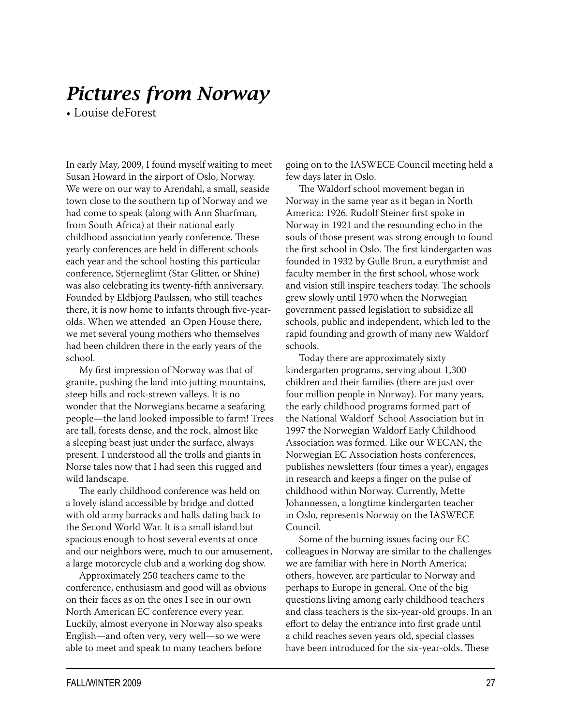## *Pictures from Norway*

• Louise deForest

In early May, 2009, I found myself waiting to meet Susan Howard in the airport of Oslo, Norway. We were on our way to Arendahl, a small, seaside town close to the southern tip of Norway and we had come to speak (along with Ann Sharfman, from South Africa) at their national early childhood association yearly conference. These yearly conferences are held in different schools each year and the school hosting this particular conference, Stjerneglimt (Star Glitter, or Shine) was also celebrating its twenty-fifth anniversary. Founded by Eldbjorg Paulssen, who still teaches there, it is now home to infants through five-yearolds. When we attended an Open House there, we met several young mothers who themselves had been children there in the early years of the school.

My first impression of Norway was that of granite, pushing the land into jutting mountains, steep hills and rock-strewn valleys. It is no wonder that the Norwegians became a seafaring people—the land looked impossible to farm! Trees are tall, forests dense, and the rock, almost like a sleeping beast just under the surface, always present. I understood all the trolls and giants in Norse tales now that I had seen this rugged and wild landscape.

The early childhood conference was held on a lovely island accessible by bridge and dotted with old army barracks and halls dating back to the Second World War. It is a small island but spacious enough to host several events at once and our neighbors were, much to our amusement, a large motorcycle club and a working dog show.

Approximately 250 teachers came to the conference, enthusiasm and good will as obvious on their faces as on the ones I see in our own North American EC conference every year. Luckily, almost everyone in Norway also speaks English—and often very, very well—so we were able to meet and speak to many teachers before

going on to the IASWECE Council meeting held a few days later in Oslo.

The Waldorf school movement began in Norway in the same year as it began in North America: 1926. Rudolf Steiner first spoke in Norway in 1921 and the resounding echo in the souls of those present was strong enough to found the first school in Oslo. The first kindergarten was founded in 1932 by Gulle Brun, a eurythmist and faculty member in the first school, whose work and vision still inspire teachers today. The schools grew slowly until 1970 when the Norwegian government passed legislation to subsidize all schools, public and independent, which led to the rapid founding and growth of many new Waldorf schools.

Today there are approximately sixty kindergarten programs, serving about 1,300 children and their families (there are just over four million people in Norway). For many years, the early childhood programs formed part of the National Waldorf School Association but in 1997 the Norwegian Waldorf Early Childhood Association was formed. Like our WECAN, the Norwegian EC Association hosts conferences, publishes newsletters (four times a year), engages in research and keeps a finger on the pulse of childhood within Norway. Currently, Mette Johannessen, a longtime kindergarten teacher in Oslo, represents Norway on the IASWECE Council.

Some of the burning issues facing our EC colleagues in Norway are similar to the challenges we are familiar with here in North America; others, however, are particular to Norway and perhaps to Europe in general. One of the big questions living among early childhood teachers and class teachers is the six-year-old groups. In an effort to delay the entrance into first grade until a child reaches seven years old, special classes have been introduced for the six-year-olds. These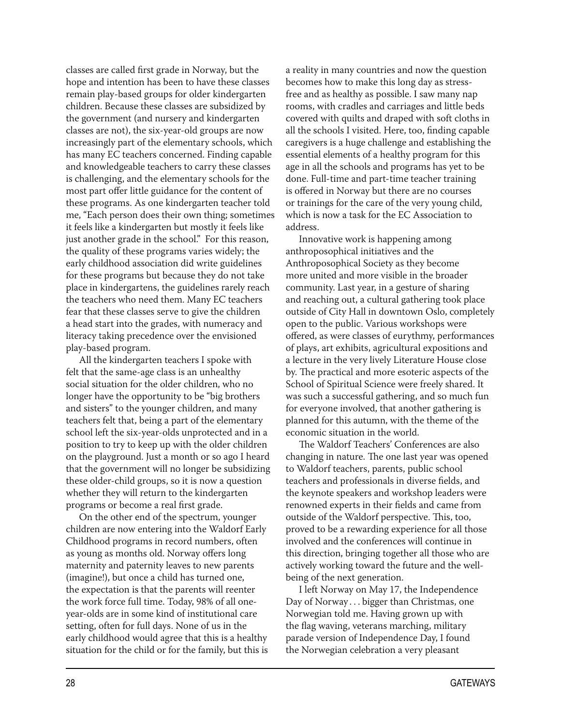classes are called first grade in Norway, but the hope and intention has been to have these classes remain play-based groups for older kindergarten children. Because these classes are subsidized by the government (and nursery and kindergarten classes are not), the six-year-old groups are now increasingly part of the elementary schools, which has many EC teachers concerned. Finding capable and knowledgeable teachers to carry these classes is challenging, and the elementary schools for the most part offer little guidance for the content of these programs. As one kindergarten teacher told me, "Each person does their own thing; sometimes it feels like a kindergarten but mostly it feels like just another grade in the school." For this reason, the quality of these programs varies widely; the early childhood association did write guidelines for these programs but because they do not take place in kindergartens, the guidelines rarely reach the teachers who need them. Many EC teachers fear that these classes serve to give the children a head start into the grades, with numeracy and literacy taking precedence over the envisioned play-based program.

All the kindergarten teachers I spoke with felt that the same-age class is an unhealthy social situation for the older children, who no longer have the opportunity to be "big brothers and sisters" to the younger children, and many teachers felt that, being a part of the elementary school left the six-year-olds unprotected and in a position to try to keep up with the older children on the playground. Just a month or so ago I heard that the government will no longer be subsidizing these older-child groups, so it is now a question whether they will return to the kindergarten programs or become a real first grade.

On the other end of the spectrum, younger children are now entering into the Waldorf Early Childhood programs in record numbers, often as young as months old. Norway offers long maternity and paternity leaves to new parents (imagine!), but once a child has turned one, the expectation is that the parents will reenter the work force full time. Today, 98% of all oneyear-olds are in some kind of institutional care setting, often for full days. None of us in the early childhood would agree that this is a healthy situation for the child or for the family, but this is

a reality in many countries and now the question becomes how to make this long day as stressfree and as healthy as possible. I saw many nap rooms, with cradles and carriages and little beds covered with quilts and draped with soft cloths in all the schools I visited. Here, too, finding capable caregivers is a huge challenge and establishing the essential elements of a healthy program for this age in all the schools and programs has yet to be done. Full-time and part-time teacher training is offered in Norway but there are no courses or trainings for the care of the very young child, which is now a task for the EC Association to address.

Innovative work is happening among anthroposophical initiatives and the Anthroposophical Society as they become more united and more visible in the broader community. Last year, in a gesture of sharing and reaching out, a cultural gathering took place outside of City Hall in downtown Oslo, completely open to the public. Various workshops were offered, as were classes of eurythmy, performances of plays, art exhibits, agricultural expositions and a lecture in the very lively Literature House close by. The practical and more esoteric aspects of the School of Spiritual Science were freely shared. It was such a successful gathering, and so much fun for everyone involved, that another gathering is planned for this autumn, with the theme of the economic situation in the world.

The Waldorf Teachers' Conferences are also changing in nature. The one last year was opened to Waldorf teachers, parents, public school teachers and professionals in diverse fields, and the keynote speakers and workshop leaders were renowned experts in their fields and came from outside of the Waldorf perspective. This, too, proved to be a rewarding experience for all those involved and the conferences will continue in this direction, bringing together all those who are actively working toward the future and the wellbeing of the next generation.

I left Norway on May 17, the Independence Day of Norway . . . bigger than Christmas, one Norwegian told me. Having grown up with the flag waving, veterans marching, military parade version of Independence Day, I found the Norwegian celebration a very pleasant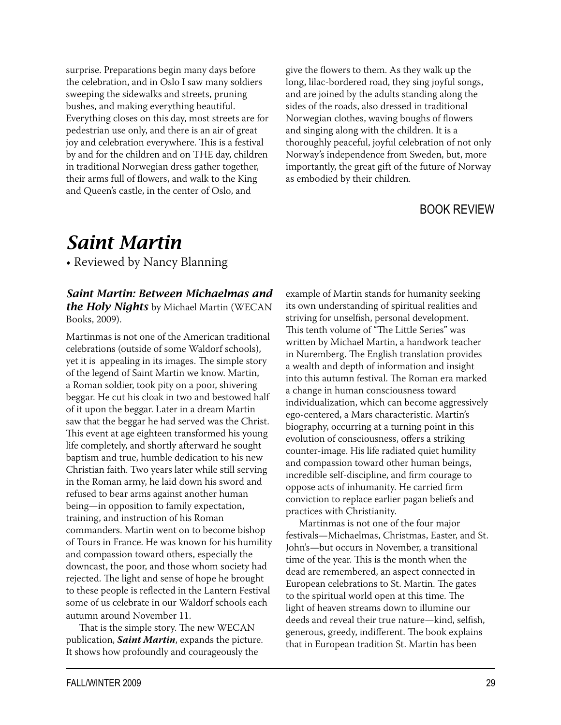surprise. Preparations begin many days before the celebration, and in Oslo I saw many soldiers sweeping the sidewalks and streets, pruning bushes, and making everything beautiful. Everything closes on this day, most streets are for pedestrian use only, and there is an air of great joy and celebration everywhere. This is a festival by and for the children and on THE day, children in traditional Norwegian dress gather together, their arms full of flowers, and walk to the King and Queen's castle, in the center of Oslo, and

give the flowers to them. As they walk up the long, lilac-bordered road, they sing joyful songs, and are joined by the adults standing along the sides of the roads, also dressed in traditional Norwegian clothes, waving boughs of flowers and singing along with the children. It is a thoroughly peaceful, joyful celebration of not only Norway's independence from Sweden, but, more importantly, the great gift of the future of Norway as embodied by their children.

#### BOOK REVIEW

## *Saint Martin*

• Reviewed by Nancy Blanning

#### *Saint Martin: Between Michaelmas and the Holy Nights* by Michael Martin (WECAN Books, 2009).

Martinmas is not one of the American traditional celebrations (outside of some Waldorf schools), yet it is appealing in its images. The simple story of the legend of Saint Martin we know. Martin, a Roman soldier, took pity on a poor, shivering beggar. He cut his cloak in two and bestowed half of it upon the beggar. Later in a dream Martin saw that the beggar he had served was the Christ. This event at age eighteen transformed his young life completely, and shortly afterward he sought baptism and true, humble dedication to his new Christian faith. Two years later while still serving in the Roman army, he laid down his sword and refused to bear arms against another human being—in opposition to family expectation, training, and instruction of his Roman commanders. Martin went on to become bishop of Tours in France. He was known for his humility and compassion toward others, especially the downcast, the poor, and those whom society had rejected. The light and sense of hope he brought to these people is reflected in the Lantern Festival some of us celebrate in our Waldorf schools each autumn around November 11.

That is the simple story. The new WECAN publication, *Saint Martin*, expands the picture. It shows how profoundly and courageously the

example of Martin stands for humanity seeking its own understanding of spiritual realities and striving for unselfish, personal development. This tenth volume of "The Little Series" was written by Michael Martin, a handwork teacher in Nuremberg. The English translation provides a wealth and depth of information and insight into this autumn festival. The Roman era marked a change in human consciousness toward individualization, which can become aggressively ego-centered, a Mars characteristic. Martin's biography, occurring at a turning point in this evolution of consciousness, offers a striking counter-image. His life radiated quiet humility and compassion toward other human beings, incredible self-discipline, and firm courage to oppose acts of inhumanity. He carried firm conviction to replace earlier pagan beliefs and practices with Christianity.

Martinmas is not one of the four major festivals—Michaelmas, Christmas, Easter, and St. John's—but occurs in November, a transitional time of the year. This is the month when the dead are remembered, an aspect connected in European celebrations to St. Martin. The gates to the spiritual world open at this time. The light of heaven streams down to illumine our deeds and reveal their true nature—kind, selfish, generous, greedy, indifferent. The book explains that in European tradition St. Martin has been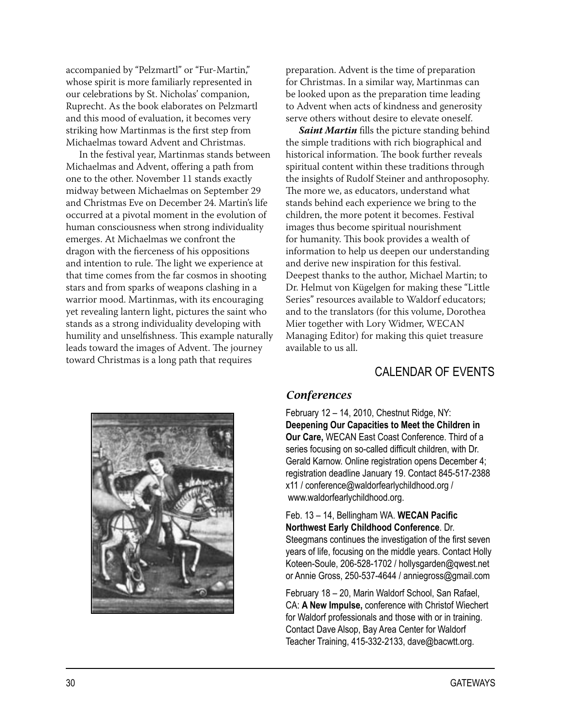accompanied by "Pelzmartl" or "Fur-Martin," whose spirit is more familiarly represented in our celebrations by St. Nicholas' companion, Ruprecht. As the book elaborates on Pelzmartl and this mood of evaluation, it becomes very striking how Martinmas is the first step from Michaelmas toward Advent and Christmas.

In the festival year, Martinmas stands between Michaelmas and Advent, offering a path from one to the other. November 11 stands exactly midway between Michaelmas on September 29 and Christmas Eve on December 24. Martin's life occurred at a pivotal moment in the evolution of human consciousness when strong individuality emerges. At Michaelmas we confront the dragon with the fierceness of his oppositions and intention to rule. The light we experience at that time comes from the far cosmos in shooting stars and from sparks of weapons clashing in a warrior mood. Martinmas, with its encouraging yet revealing lantern light, pictures the saint who stands as a strong individuality developing with humility and unselfishness. This example naturally leads toward the images of Advent. The journey toward Christmas is a long path that requires

preparation. Advent is the time of preparation for Christmas. In a similar way, Martinmas can be looked upon as the preparation time leading to Advent when acts of kindness and generosity serve others without desire to elevate oneself.

*Saint Martin* fills the picture standing behind the simple traditions with rich biographical and historical information. The book further reveals spiritual content within these traditions through the insights of Rudolf Steiner and anthroposophy. The more we, as educators, understand what stands behind each experience we bring to the children, the more potent it becomes. Festival images thus become spiritual nourishment for humanity. This book provides a wealth of information to help us deepen our understanding and derive new inspiration for this festival. Deepest thanks to the author, Michael Martin; to Dr. Helmut von Kügelgen for making these "Little Series" resources available to Waldorf educators; and to the translators (for this volume, Dorothea Mier together with Lory Widmer, WECAN Managing Editor) for making this quiet treasure available to us all.

## CALENDAR OF EVENTS



#### *Conferences*

February 12 – 14, 2010, Chestnut Ridge, NY: **Deepening Our Capacities to Meet the Children in Our Care,** WECAN East Coast Conference. Third of a series focusing on so-called difficult children, with Dr. Gerald Karnow. Online registration opens December 4; registration deadline January 19. Contact 845-517-2388 x11 / conference@waldorfearlychildhood.org / www.waldorfearlychildhood.org.

#### Feb. 13 – 14, Bellingham WA. **WECAN Pacific Northwest Early Childhood Conference**. Dr. Steegmans continues the investigation of the first seven years of life, focusing on the middle years. Contact Holly Koteen-Soule, 206-528-1702 / hollysgarden@qwest.net

or Annie Gross, 250-537-4644 / anniegross@gmail.com

February 18 – 20, Marin Waldorf School, San Rafael, CA: **A New Impulse,** conference with Christof Wiechert for Waldorf professionals and those with or in training. Contact Dave Alsop, Bay Area Center for Waldorf Teacher Training, 415-332-2133, dave@bacwtt.org.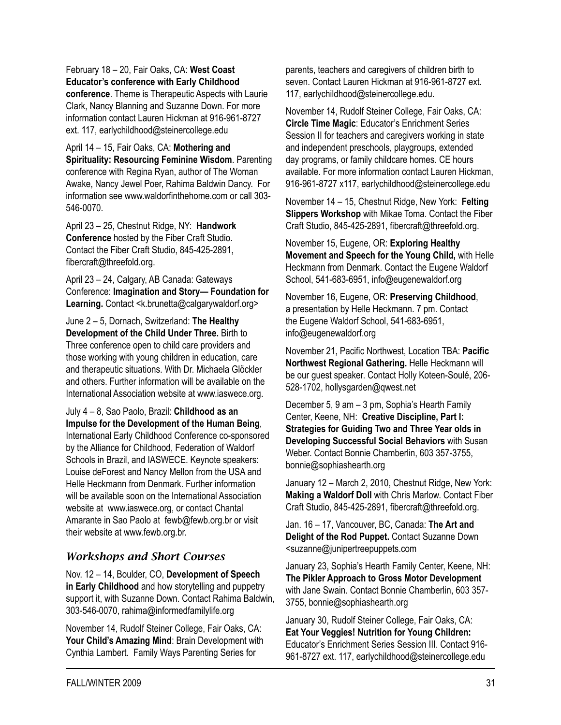## February 18 – 20, Fair Oaks, CA: **West Coast Educator's conference with Early Childhood**

**conference**. Theme is Therapeutic Aspects with Laurie Clark, Nancy Blanning and Suzanne Down. For more information contact Lauren Hickman at 916-961-8727 ext. 117, earlychildhood@steinercollege.edu

April 14 – 15, Fair Oaks, CA: **Mothering and Spirituality: Resourcing Feminine Wisdom**. Parenting conference with Regina Ryan, author of The Woman Awake, Nancy Jewel Poer, Rahima Baldwin Dancy. For information see www.waldorfinthehome.com or call 303- 546-0070.

April 23 – 25, Chestnut Ridge, NY: **Handwork Conference** hosted by the Fiber Craft Studio. Contact the Fiber Craft Studio, 845-425-2891, fibercraft@threefold.org.

April 23 – 24, Calgary, AB Canada: Gateways Conference: **Imagination and Story— Foundation for**  Learning. Contact <k.brunetta@calgarywaldorf.org>

June 2 – 5, Dornach, Switzerland: **The Healthy Development of the Child Under Three.** Birth to Three conference open to child care providers and those working with young children in education, care and therapeutic situations. With Dr. Michaela Glöckler and others. Further information will be available on the International Association website at www.iaswece.org.

July 4 – 8, Sao Paolo, Brazil: **Childhood as an Impulse for the Development of the Human Being**, International Early Childhood Conference co-sponsored by the Alliance for Childhood, Federation of Waldorf Schools in Brazil, and IASWECE. Keynote speakers: Louise deForest and Nancy Mellon from the USA and Helle Heckmann from Denmark. Further information will be available soon on the International Association website at www.iaswece.org, or contact Chantal Amarante in Sao Paolo at fewb@fewb.org.br or visit their website at www.fewb.org.br.

### *Workshops and Short Courses*

Nov. 12 – 14, Boulder, CO, **Development of Speech in Early Childhood** and how storytelling and puppetry support it, with Suzanne Down. Contact Rahima Baldwin, 303-546-0070, rahima@informedfamilylife.org

November 14, Rudolf Steiner College, Fair Oaks, CA: **Your Child's Amazing Mind**: Brain Development with Cynthia Lambert. Family Ways Parenting Series for

parents, teachers and caregivers of children birth to seven. Contact Lauren Hickman at 916-961-8727 ext. 117, earlychildhood@steinercollege.edu.

November 14, Rudolf Steiner College, Fair Oaks, CA: **Circle Time Magic**: Educator's Enrichment Series Session II for teachers and caregivers working in state and independent preschools, playgroups, extended day programs, or family childcare homes. CE hours available. For more information contact Lauren Hickman, 916-961-8727 x117, earlychildhood@steinercollege.edu

November 14 – 15, Chestnut Ridge, New York: **Felting Slippers Workshop** with Mikae Toma. Contact the Fiber Craft Studio, 845-425-2891, fibercraft@threefold.org.

November 15, Eugene, OR: **Exploring Healthy Movement and Speech for the Young Child,** with Helle Heckmann from Denmark. Contact the Eugene Waldorf School, 541-683-6951, info@eugenewaldorf.org

November 16, Eugene, OR: **Preserving Childhood**, a presentation by Helle Heckmann. 7 pm. Contact the Eugene Waldorf School, 541-683-6951, info@eugenewaldorf.org

November 21, Pacific Northwest, Location TBA: **Pacific Northwest Regional Gathering.** Helle Heckmann will be our guest speaker. Contact Holly Koteen-Soulé, 206- 528-1702, hollysgarden@qwest.net

December 5, 9 am – 3 pm, Sophia's Hearth Family Center, Keene, NH: **Creative Discipline, Part I: Strategies for Guiding Two and Three Year olds in Developing Successful Social Behaviors** with Susan Weber. Contact Bonnie Chamberlin, 603 357-3755, bonnie@sophiashearth.org

January 12 – March 2, 2010, Chestnut Ridge, New York: **Making a Waldorf Doll** with Chris Marlow. Contact Fiber Craft Studio, 845-425-2891, fibercraft@threefold.org.

Jan. 16 – 17, Vancouver, BC, Canada: **The Art and Delight of the Rod Puppet.** Contact Suzanne Down <suzanne@junipertreepuppets.com

January 23, Sophia's Hearth Family Center, Keene, NH: **The Pikler Approach to Gross Motor Development**  with Jane Swain. Contact Bonnie Chamberlin, 603 357- 3755, bonnie@sophiashearth.org

January 30, Rudolf Steiner College, Fair Oaks, CA: **Eat Your Veggies! Nutrition for Young Children:**  Educator's Enrichment Series Session III. Contact 916- 961-8727 ext. 117, earlychildhood@steinercollege.edu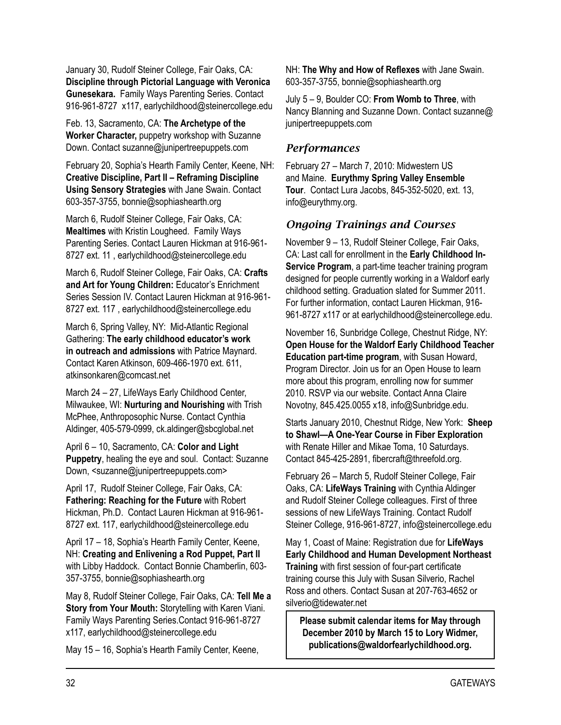January 30, Rudolf Steiner College, Fair Oaks, CA: **Discipline through Pictorial Language with Veronica Gunesekara.** Family Ways Parenting Series. Contact 916-961-8727 x117, earlychildhood@steinercollege.edu

Feb. 13, Sacramento, CA: **The Archetype of the Worker Character,** puppetry workshop with Suzanne Down. Contact suzanne@junipertreepuppets.com

February 20, Sophia's Hearth Family Center, Keene, NH: **Creative Discipline, Part II – Reframing Discipline Using Sensory Strategies** with Jane Swain. Contact 603-357-3755, bonnie@sophiashearth.org

March 6, Rudolf Steiner College, Fair Oaks, CA: **Mealtimes** with Kristin Lougheed. Family Ways Parenting Series. Contact Lauren Hickman at 916-961- 8727 ext. 11 , earlychildhood@steinercollege.edu

March 6, Rudolf Steiner College, Fair Oaks, CA: **Crafts and Art for Young Children:** Educator's Enrichment Series Session IV. Contact Lauren Hickman at 916-961- 8727 ext. 117 , earlychildhood@steinercollege.edu

March 6, Spring Valley, NY: Mid-Atlantic Regional Gathering: **The early childhood educator's work in outreach and admissions** with Patrice Maynard. Contact Karen Atkinson, 609-466-1970 ext. 611, atkinsonkaren@comcast.net

March 24 – 27, LifeWays Early Childhood Center, Milwaukee, WI: **Nurturing and Nourishing** with Trish McPhee, Anthroposophic Nurse. Contact Cynthia Aldinger, 405-579-0999, ck.aldinger@sbcglobal.net

April 6 – 10, Sacramento, CA: **Color and Light Puppetry**, healing the eye and soul. Contact: Suzanne Down, <suzanne@junipertreepuppets.com>

April 17, Rudolf Steiner College, Fair Oaks, CA: **Fathering: Reaching for the Future** with Robert Hickman, Ph.D. Contact Lauren Hickman at 916-961- 8727 ext. 117, earlychildhood@steinercollege.edu

April 17 – 18, Sophia's Hearth Family Center, Keene, NH: **Creating and Enlivening a Rod Puppet, Part II** with Libby Haddock. Contact Bonnie Chamberlin, 603- 357-3755, bonnie@sophiashearth.org

May 8, Rudolf Steiner College, Fair Oaks, CA: **Tell Me a Story from Your Mouth:** Storytelling with Karen Viani. Family Ways Parenting Series.Contact 916-961-8727 x117, earlychildhood@steinercollege.edu

May 15 – 16, Sophia's Hearth Family Center, Keene,

NH: **The Why and How of Reflexes** with Jane Swain. 603-357-3755, bonnie@sophiashearth.org

July 5 – 9, Boulder CO: **From Womb to Three**, with Nancy Blanning and Suzanne Down. Contact suzanne@ junipertreepuppets.com

#### *Performances*

February 27 – March 7, 2010: Midwestern US and Maine. **Eurythmy Spring Valley Ensemble Tour**. Contact Lura Jacobs, 845-352-5020, ext. 13, info@eurythmy.org.

#### *Ongoing Trainings and Courses*

November 9 – 13, Rudolf Steiner College, Fair Oaks, CA: Last call for enrollment in the **Early Childhood In-Service Program**, a part-time teacher training program designed for people currently working in a Waldorf early childhood setting. Graduation slated for Summer 2011. For further information, contact Lauren Hickman, 916- 961-8727 x117 or at earlychildhood@steinercollege.edu.

November 16, Sunbridge College, Chestnut Ridge, NY: **Open House for the Waldorf Early Childhood Teacher Education part-time program**, with Susan Howard, Program Director. Join us for an Open House to learn more about this program, enrolling now for summer 2010. RSVP via our website. Contact Anna Claire Novotny, 845.425.0055 x18, info@Sunbridge.edu.

Starts January 2010, Chestnut Ridge, New York: **Sheep to Shawl—A One-Year Course in Fiber Exploration** with Renate Hiller and Mikae Toma, 10 Saturdays. Contact 845-425-2891, fibercraft@threefold.org.

February 26 – March 5, Rudolf Steiner College, Fair Oaks, CA: **LifeWays Training** with Cynthia Aldinger and Rudolf Steiner College colleagues. First of three sessions of new LifeWays Training. Contact Rudolf Steiner College, 916-961-8727, info@steinercollege.edu

May 1, Coast of Maine: Registration due for **LifeWays Early Childhood and Human Development Northeast Training** with first session of four-part certificate training course this July with Susan Silverio, Rachel Ross and others. Contact Susan at 207-763-4652 or silverio@tidewater.net

**Please submit calendar items for May through December 2010 by March 15 to Lory Widmer, publications@waldorfearlychildhood.org.**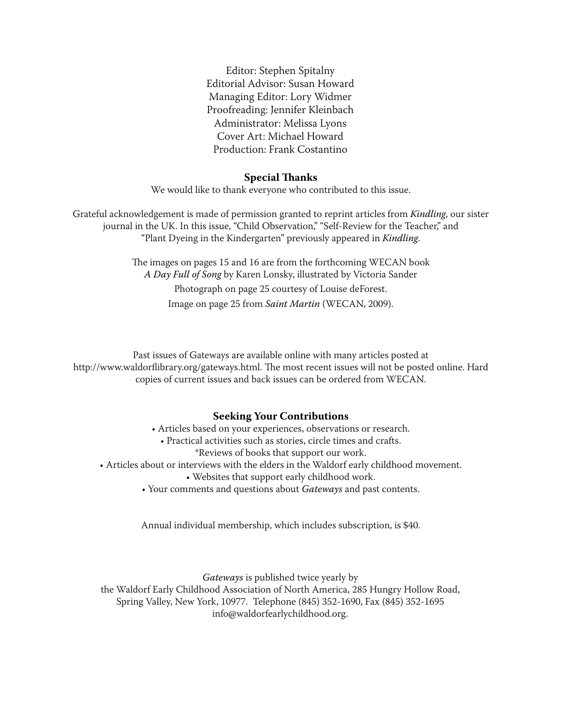Editor: Stephen Spitalny Editorial Advisor: Susan Howard Managing Editor: Lory Widmer Proofreading: Jennifer Kleinbach Administrator: Melissa Lyons Cover Art: Michael Howard Production: Frank Costantino

#### **Special Thanks**

We would like to thank everyone who contributed to this issue.

Grateful acknowledgement is made of permission granted to reprint articles from *Kindling*, our sister journal in the UK. In this issue, "Child Observation," "Self-Review for the Teacher," and "Plant Dyeing in the Kindergarten" previously appeared in *Kindling*.

> The images on pages 15 and 16 are from the forthcoming WECAN book *A Day Full of Song* by Karen Lonsky, illustrated by Victoria Sander Photograph on page 25 courtesy of Louise deForest. Image on page 25 from *Saint Martin* (WECAN, 2009).

Past issues of Gateways are available online with many articles posted at http://www.waldorflibrary.org/gateways.html. The most recent issues will not be posted online. Hard copies of current issues and back issues can be ordered from WECAN.

#### **Seeking Your Contributions**

- Articles based on your experiences, observations or research.
	- Practical activities such as stories, circle times and crafts.
		- \*Reviews of books that support our work.
- Articles about or interviews with the elders in the Waldorf early childhood movement.
	- Websites that support early childhood work.
	- Your comments and questions about *Gateways* and past contents.

Annual individual membership, which includes subscription, is \$40.

*Gateways* is published twice yearly by

the Waldorf Early Childhood Association of North America, 285 Hungry Hollow Road, Spring Valley, New York, 10977. Telephone (845) 352-1690, Fax (845) 352-1695 info@waldorfearlychildhood.org.